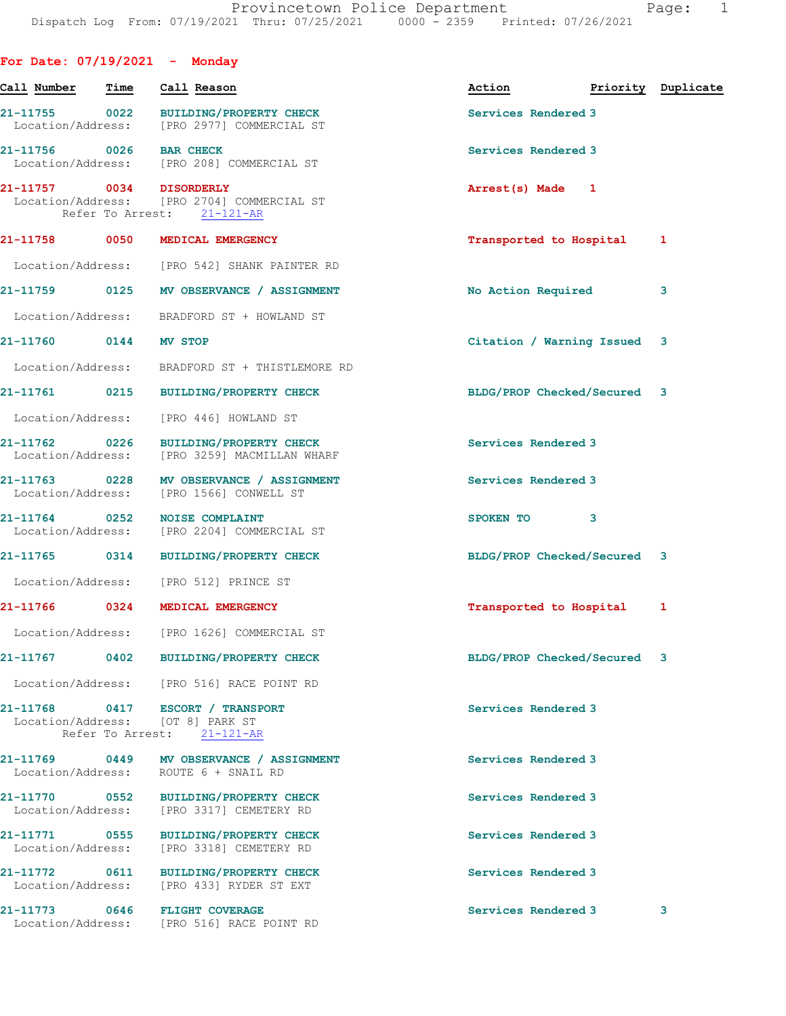| For Date: $07/19/2021$ - Monday    |      |                                                                                                    |                             |                    |
|------------------------------------|------|----------------------------------------------------------------------------------------------------|-----------------------------|--------------------|
| Call Number                        | Time | Call Reason                                                                                        | Action                      | Priority Duplicate |
| Location/Address:                  |      | 21-11755 0022 BUILDING/PROPERTY CHECK<br>[PRO 2977] COMMERCIAL ST                                  | Services Rendered 3         |                    |
| 21-11756 0026                      |      | <b>BAR CHECK</b><br>Location/Address: [PRO 208] COMMERCIAL ST                                      | Services Rendered 3         |                    |
| 21-11757 0034 DISORDERLY           |      | Location/Address: [PRO 2704] COMMERCIAL ST<br>Refer To Arrest: 21-121-AR                           | Arrest(s) Made 1            |                    |
| 21-11758                           | 0050 | MEDICAL EMERGENCY                                                                                  | Transported to Hospital     | 1                  |
|                                    |      | Location/Address: [PRO 542] SHANK PAINTER RD                                                       |                             |                    |
| 21-11759 0125                      |      | MV OBSERVANCE / ASSIGNMENT                                                                         | No Action Required          | 3                  |
| Location/Address:                  |      | BRADFORD ST + HOWLAND ST                                                                           |                             |                    |
| 21-11760 0144 MV STOP              |      |                                                                                                    | Citation / Warning Issued   | 3                  |
|                                    |      | Location/Address: BRADFORD ST + THISTLEMORE RD                                                     |                             |                    |
| 21-11761                           | 0215 | <b>BUILDING/PROPERTY CHECK</b>                                                                     | BLDG/PROP Checked/Secured 3 |                    |
| Location/Address:                  |      | [PRO 446] HOWLAND ST                                                                               |                             |                    |
| 21-11762 0226<br>Location/Address: |      | <b>BUILDING/PROPERTY CHECK</b><br>[PRO 3259] MACMILLAN WHARF                                       | Services Rendered 3         |                    |
| 21-11763 0228                      |      | MV OBSERVANCE / ASSIGNMENT<br>Location/Address: [PRO 1566] CONWELL ST                              | Services Rendered 3         |                    |
| 21-11764 0252<br>Location/Address: |      | <b>NOISE COMPLAINT</b><br>[PRO 2204] COMMERCIAL ST                                                 | 3<br>SPOKEN TO              |                    |
| 21-11765 0314                      |      | <b>BUILDING/PROPERTY CHECK</b>                                                                     | BLDG/PROP Checked/Secured 3 |                    |
|                                    |      | Location/Address: [PRO 512] PRINCE ST                                                              |                             |                    |
| 21-11766                           | 0324 | MEDICAL EMERGENCY                                                                                  | Transported to Hospital     | 1                  |
| Location/Address:                  |      | [PRO 1626] COMMERCIAL ST                                                                           |                             |                    |
| 21-11767                           |      | 0402 BUILDING/PROPERTY CHECK                                                                       | BLDG/PROP Checked/Secured 3 |                    |
|                                    |      | Location/Address: [PRO 516] RACE POINT RD                                                          |                             |                    |
|                                    |      | 21-11768 0417 ESCORT / TRANSPORT<br>Location/Address: [OT 8] PARK ST<br>Refer To Arrest: 21-121-AR | Services Rendered 3         |                    |
| 21-11769 0449<br>Location/Address: |      | MV OBSERVANCE / ASSIGNMENT<br>ROUTE 6 + SNAIL RD                                                   | Services Rendered 3         |                    |
| 21-11770 0552<br>Location/Address: |      | <b>BUILDING/PROPERTY CHECK</b><br>[PRO 3317] CEMETERY RD                                           | Services Rendered 3         |                    |
| 21-11771 0555<br>Location/Address: |      | <b>BUILDING/PROPERTY CHECK</b><br>[PRO 3318] CEMETERY RD                                           | Services Rendered 3         |                    |
| 21-11772 0611<br>Location/Address: |      | <b>BUILDING/PROPERTY CHECK</b><br>[PRO 433] RYDER ST EXT                                           | Services Rendered 3         |                    |
|                                    |      | 21-11773 0646 FLIGHT COVERAGE<br>Location/Address: [PRO 516] RACE POINT RD                         | Services Rendered 3         | 3                  |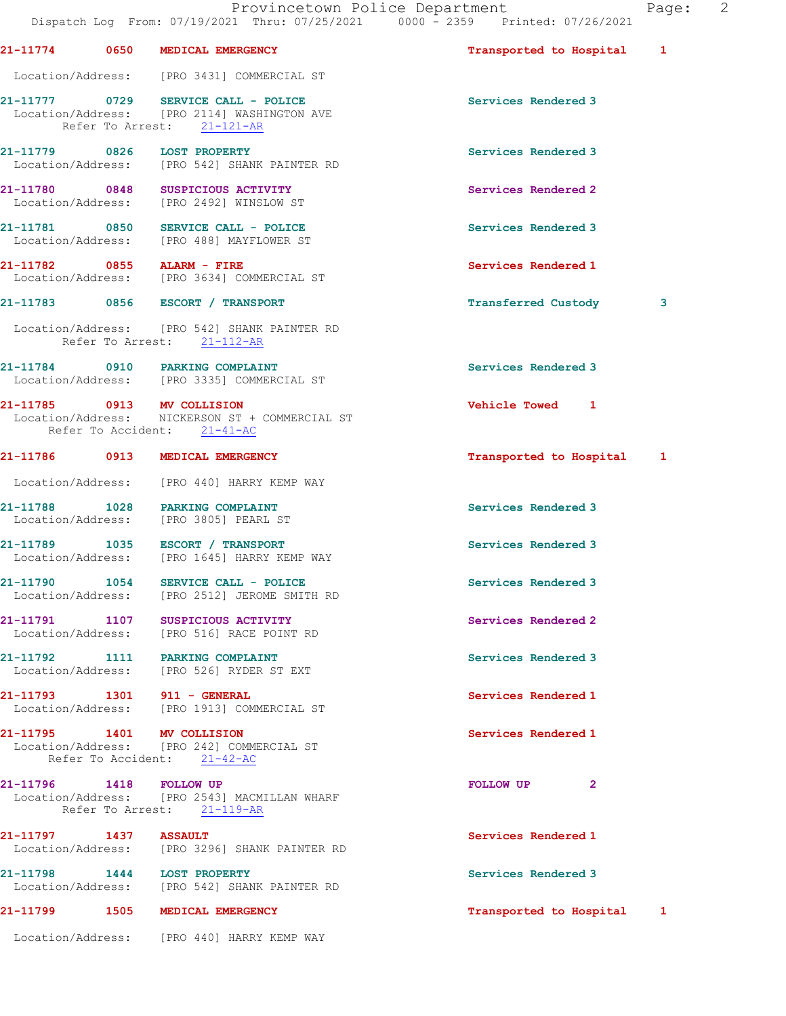|                                    | Provincetown Police Department<br>Dispatch Log From: 07/19/2021 Thru: 07/25/2021 0000 - 2359 Printed: 07/26/2021 |                           | Page: | 2 |
|------------------------------------|------------------------------------------------------------------------------------------------------------------|---------------------------|-------|---|
|                                    | 21-11774 0650 MEDICAL EMERGENCY                                                                                  | Transported to Hospital 1 |       |   |
|                                    | Location/Address: [PRO 3431] COMMERCIAL ST                                                                       |                           |       |   |
|                                    | 21-11777 0729 SERVICE CALL - POLICE<br>Location/Address: [PRO 2114] WASHINGTON AVE<br>Refer To Arrest: 21-121-AR | Services Rendered 3       |       |   |
| 21-11779 0826 LOST PROPERTY        | Location/Address: [PRO 542] SHANK PAINTER RD                                                                     | Services Rendered 3       |       |   |
|                                    | 21-11780 0848 SUSPICIOUS ACTIVITY<br>Location/Address: [PRO 2492] WINSLOW ST                                     | Services Rendered 2       |       |   |
|                                    | 21-11781 0850 SERVICE CALL - POLICE<br>Location/Address: [PRO 488] MAYFLOWER ST                                  | Services Rendered 3       |       |   |
| 21-11782 0855 ALARM - FIRE         | Location/Address: [PRO 3634] COMMERCIAL ST                                                                       | Services Rendered 1       |       |   |
|                                    | 21-11783 0856 ESCORT / TRANSPORT                                                                                 | Transferred Custody       | 3     |   |
|                                    | Location/Address: [PRO 542] SHANK PAINTER RD<br>Refer To Arrest: 21-112-AR                                       |                           |       |   |
|                                    | 21-11784 0910 PARKING COMPLAINT<br>Location/Address: [PRO 3335] COMMERCIAL ST                                    | Services Rendered 3       |       |   |
| 21-11785 0913 MV COLLISION         | Location/Address: NICKERSON ST + COMMERCIAL ST<br>Refer To Accident: 21-41-AC                                    | Vehicle Towed 1           |       |   |
|                                    | 21-11786 0913 MEDICAL EMERGENCY                                                                                  | Transported to Hospital 1 |       |   |
|                                    | Location/Address: [PRO 440] HARRY KEMP WAY                                                                       |                           |       |   |
|                                    | 21-11788 1028 PARKING COMPLAINT<br>Location/Address: [PRO 3805] PEARL ST                                         | Services Rendered 3       |       |   |
|                                    | 21-11789 1035 ESCORT / TRANSPORT<br>Location/Address: [PRO 1645] HARRY KEMP WAY                                  | Services Rendered 3       |       |   |
| 21-11790 1054<br>Location/Address: | SERVICE CALL - POLICE<br>[PRO 2512] JEROME SMITH RD                                                              | Services Rendered 3       |       |   |
|                                    | 21-11791 1107 SUSPICIOUS ACTIVITY<br>Location/Address: [PRO 516] RACE POINT RD                                   | Services Rendered 2       |       |   |
| 21-11792 1111<br>Location/Address: | <b>PARKING COMPLAINT</b><br>[PRO 526] RYDER ST EXT                                                               | Services Rendered 3       |       |   |
| 21-11793 1301 911 - GENERAL        | Location/Address: [PRO 1913] COMMERCIAL ST                                                                       | Services Rendered 1       |       |   |
| 21-11795 1401 MV COLLISION         | Location/Address: [PRO 242] COMMERCIAL ST<br>Refer To Accident: 21-42-AC                                         | Services Rendered 1       |       |   |
| 21-11796 1418 FOLLOW UP            | Location/Address: [PRO 2543] MACMILLAN WHARF<br>Refer To Arrest: 21-119-AR                                       | <b>FOLLOW UP</b><br>2     |       |   |
| 21-11797 1437                      | <b>ASSAULT</b><br>Location/Address: [PRO 3296] SHANK PAINTER RD                                                  | Services Rendered 1       |       |   |
| 21-11798 1444 LOST PROPERTY        | Location/Address: [PRO 542] SHANK PAINTER RD                                                                     | Services Rendered 3       |       |   |

21-11799 1505 MEDICAL EMERGENCY 1 21-11799 1505 1505 1506

Location/Address: [PRO 440] HARRY KEMP WAY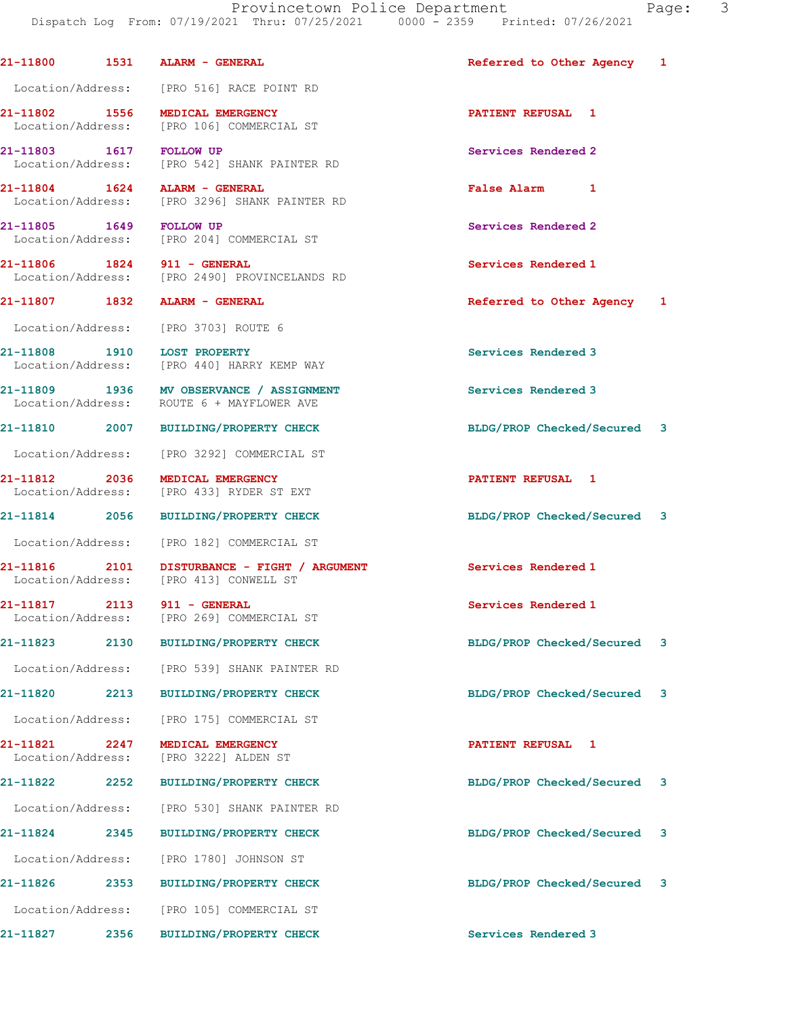Dispatch Log From: 07/19/2021 Thru: 07/25/2021 0000 - 2359 Printed: 07/26/2021 21-11800 1531 ALARM - GENERAL Referred to Other Agency 1 Location/Address: [PRO 516] RACE POINT RD 21-11802 1556 MEDICAL EMERGENCY **120 CONTRACT 121-11802** 1556 MEDICAL EMERGENCY Location/Address: [PRO 106] COMMERCIAL ST 21-11803 1617 FOLLOW UP Services Rendered 2 Location/Address: [PRO 542] SHANK PAINTER RD 21-11804 1624 ALARM - GENERAL 100 CONSUMING REAL RAISE ALARM 1<br>
Location/Address: [PRO 3296] SHANK PAINTER RD [PRO 3296] SHANK PAINTER RD 21-11805 1649 FOLLOW UP Services Rendered 2 Location/Address: [PRO 204] COMMERCIAL ST 21-11806 1824 911 - GENERAL Services Rendered 1 Location/Address: [PRO 2490] PROVINCELANDS RD 21-11807 1832 ALARM - GENERAL Referred to Other Agency 1 Location/Address: [PRO 3703] ROUTE 6 21-11808 1910 LOST PROPERTY<br>
Location/Address: [PRO 440] HARRY KEMP WAY **Services Rendered 3** [PRO 440] HARRY KEMP WAY 21-11809 1936 MV OBSERVANCE / ASSIGNMENT Services Rendered 3 Location/Address: ROUTE 6 + MAYFLOWER AVE 21-11810 2007 BUILDING/PROPERTY CHECK BLDG/PROP Checked/Secured 3 Location/Address: [PRO 3292] COMMERCIAL ST 21-11812 2036 MEDICAL EMERGENCY PATIENT REFUSAL 1 Location/Address: [PRO 433] RYDER ST EXT 21-11814 2056 BUILDING/PROPERTY CHECK BLDG/PROP Checked/Secured 3 Location/Address: [PRO 182] COMMERCIAL ST 21-11816 2101 DISTURBANCE - FIGHT / ARGUMENT Services Rendered 1 Location/Address: [PRO 413] CONWELL ST 21-11817 2113 911 - GENERAL **Services Rendered 1**  Location/Address: [PRO 269] COMMERCIAL ST 21-11823 2130 BUILDING/PROPERTY CHECK BLDG/PROP Checked/Secured 3 Location/Address: [PRO 539] SHANK PAINTER RD 21-11820 2213 BUILDING/PROPERTY CHECK BLDG/PROP Checked/Secured 3 Location/Address: [PRO 175] COMMERCIAL ST 21-11821 2247 MEDICAL EMERGENCY PATIENT REFUSAL 1 Location/Address: [PRO 3222] ALDEN ST 21-11822 2252 BUILDING/PROPERTY CHECK BLDG/PROP Checked/Secured 3 Location/Address: [PRO 530] SHANK PAINTER RD 21-11824 2345 BUILDING/PROPERTY CHECK BLDG/PROP Checked/Secured 3 Location/Address: [PRO 1780] JOHNSON ST 21-11826 2353 BUILDING/PROPERTY CHECK BLDG/PROP Checked/Secured 3 Location/Address: [PRO 105] COMMERCIAL ST

21-11827 2356 BUILDING/PROPERTY CHECK Services Rendered 3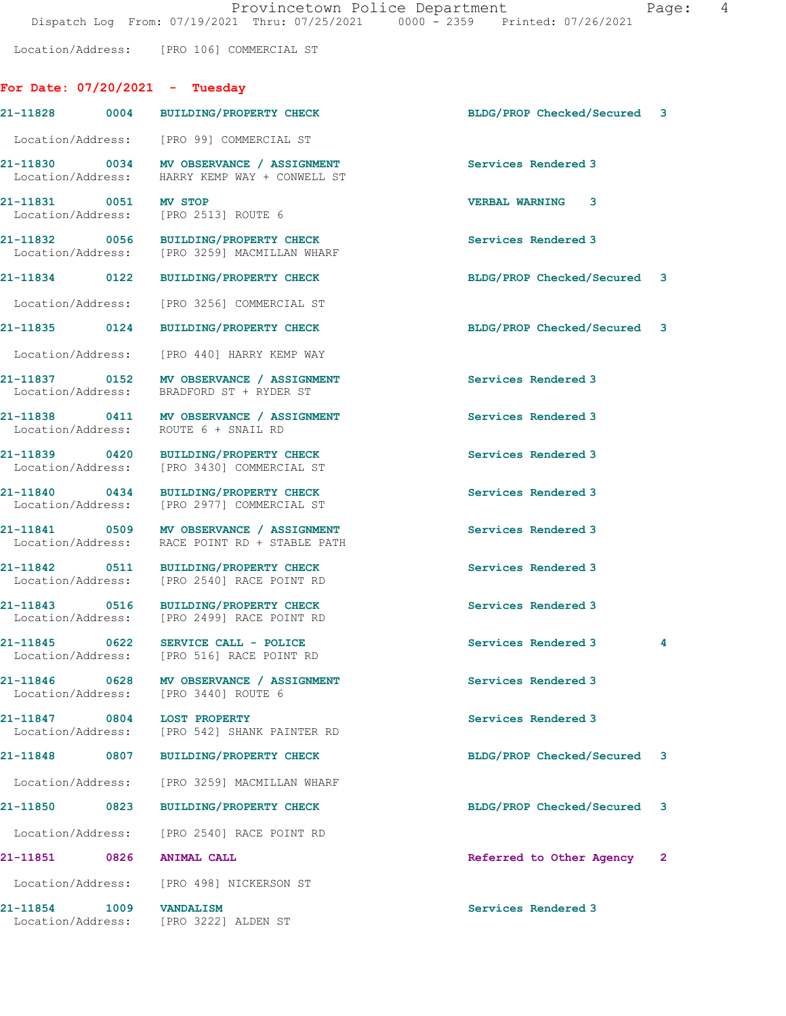Location/Address: [PRO 106] COMMERCIAL ST

## For Date: 07/20/2021 - Tuesday

|                               |      | 21-11828 0004 BUILDING/PROPERTY CHECK                                                     | BLDG/PROP Checked/Secured 3 |    |
|-------------------------------|------|-------------------------------------------------------------------------------------------|-----------------------------|----|
|                               |      | Location/Address: [PRO 99] COMMERCIAL ST                                                  |                             |    |
|                               |      | 21-11830 0034 MV OBSERVANCE / ASSIGNMENT<br>Location/Address: HARRY KEMP WAY + CONWELL ST | Services Rendered 3         |    |
| 21-11831 0051 MV STOP         |      | Location/Address: [PRO 2513] ROUTE 6                                                      | <b>VERBAL WARNING 3</b>     |    |
|                               |      | 21-11832 0056 BUILDING/PROPERTY CHECK<br>Location/Address: [PRO 3259] MACMILLAN WHARF     | Services Rendered 3         |    |
|                               |      | 21-11834 0122 BUILDING/PROPERTY CHECK                                                     | BLDG/PROP Checked/Secured 3 |    |
|                               |      | Location/Address: [PRO 3256] COMMERCIAL ST                                                |                             |    |
| 21-11835 0124                 |      | <b>BUILDING/PROPERTY CHECK</b>                                                            | BLDG/PROP Checked/Secured 3 |    |
|                               |      | Location/Address: [PRO 440] HARRY KEMP WAY                                                |                             |    |
|                               |      | 21-11837 0152 MV OBSERVANCE / ASSIGNMENT<br>Location/Address: BRADFORD ST + RYDER ST      | Services Rendered 3         |    |
|                               |      | 21-11838 0411 MV OBSERVANCE / ASSIGNMENT<br>Location/Address: ROUTE 6 + SNAIL RD          | Services Rendered 3         |    |
| 21-11839 0420                 |      | BUILDING/PROPERTY CHECK<br>Location/Address: [PRO 3430] COMMERCIAL ST                     | Services Rendered 3         |    |
| 21-11840 0434                 |      | <b>BUILDING/PROPERTY CHECK</b><br>Location/Address: [PRO 2977] COMMERCIAL ST              | Services Rendered 3         |    |
|                               |      | 21-11841 0509 MV OBSERVANCE / ASSIGNMENT<br>Location/Address: RACE POINT RD + STABLE PATH | Services Rendered 3         |    |
| Location/Address:             |      | 21-11842 0511 BUILDING/PROPERTY CHECK<br>[PRO 2540] RACE POINT RD                         | Services Rendered 3         |    |
| 21-11843 0516                 |      | BUILDING/PROPERTY CHECK<br>Location/Address: [PRO 2499] RACE POINT RD                     | Services Rendered 3         |    |
|                               |      | 21-11845 0622 SERVICE CALL - POLICE<br>Location/Address: [PRO 516] RACE POINT RD          | Services Rendered 3         | 4  |
| 21-11846<br>Location/Address: | 0628 | MV OBSERVANCE / ASSIGNMENT<br>[PRO 3440] ROUTE 6                                          | Services Rendered 3         |    |
| 21-11847<br>Location/Address: | 0804 | <b>LOST PROPERTY</b><br>[PRO 542] SHANK PAINTER RD                                        | Services Rendered 3         |    |
| 21-11848                      | 0807 | <b>BUILDING/PROPERTY CHECK</b>                                                            | BLDG/PROP Checked/Secured   | 3  |
| Location/Address:             |      | [PRO 3259] MACMILLAN WHARF                                                                |                             |    |
| 21-11850                      | 0823 | <b>BUILDING/PROPERTY CHECK</b>                                                            | BLDG/PROP Checked/Secured   | -3 |
| Location/Address:             |      | [PRO 2540] RACE POINT RD                                                                  |                             |    |
| 21-11851                      | 0826 | <b>ANIMAL CALL</b>                                                                        | Referred to Other Agency    | 2  |
|                               |      | Location/Address: [PRO 498] NICKERSON ST                                                  |                             |    |
| 21-11854<br>Location/Address: | 1009 | <b>VANDALISM</b><br>[PRO 3222] ALDEN ST                                                   | Services Rendered 3         |    |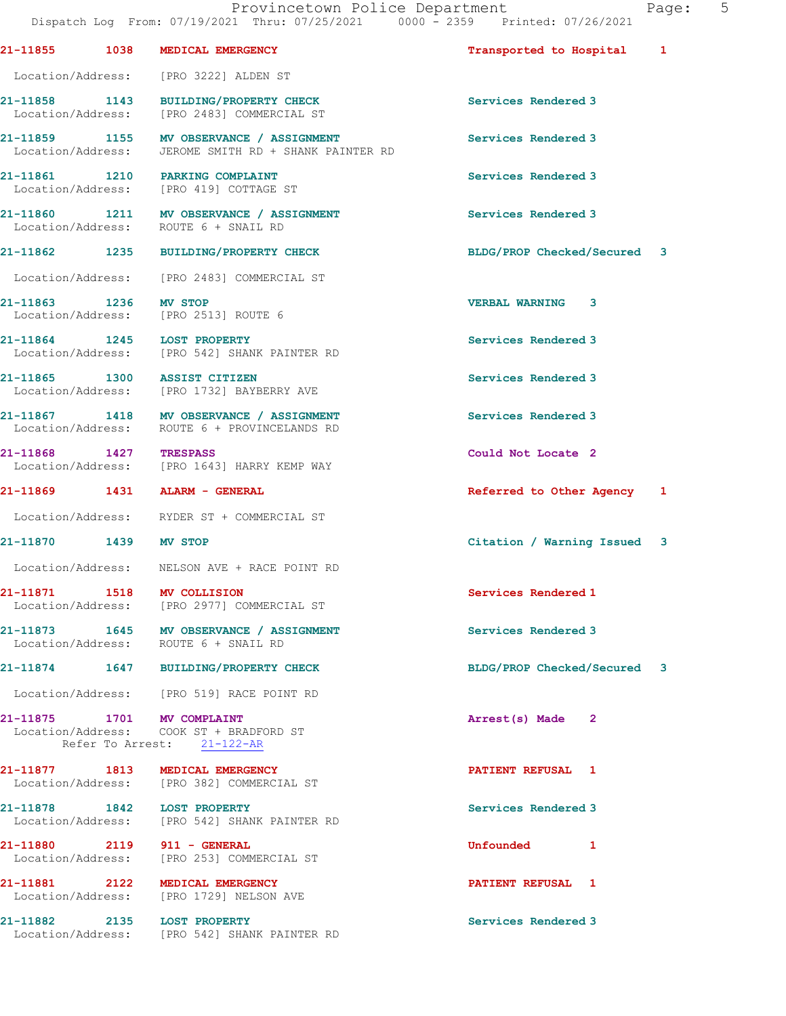|                        | 21-11855 1038 MEDICAL EMERGENCY                                                                     | Transported to Hospital 1   |  |
|------------------------|-----------------------------------------------------------------------------------------------------|-----------------------------|--|
|                        | Location/Address: [PRO 3222] ALDEN ST                                                               |                             |  |
|                        | 21-11858 1143 BUILDING/PROPERTY CHECK<br>Location/Address: [PRO 2483] COMMERCIAL ST                 | Services Rendered 3         |  |
|                        | 21-11859 1155 MV OBSERVANCE / ASSIGNMENT<br>Location/Address: JEROME SMITH RD + SHANK PAINTER RD    | Services Rendered 3         |  |
|                        | 21-11861 1210 PARKING COMPLAINT<br>Location/Address: [PRO 419] COTTAGE ST                           | Services Rendered 3         |  |
|                        | 21-11860 1211 MV OBSERVANCE / ASSIGNMENT<br>Location/Address: ROUTE 6 + SNAIL RD                    | Services Rendered 3         |  |
|                        | 21-11862 1235 BUILDING/PROPERTY CHECK                                                               | BLDG/PROP Checked/Secured 3 |  |
|                        | Location/Address: [PRO 2483] COMMERCIAL ST                                                          |                             |  |
| 21-11863 1236 MV STOP  | Location/Address: [PRO 2513] ROUTE 6                                                                | <b>VERBAL WARNING 3</b>     |  |
|                        | 21-11864 1245 LOST PROPERTY<br>Location/Address: [PRO 542] SHANK PAINTER RD                         | Services Rendered 3         |  |
|                        | 21-11865 1300 ASSIST CITIZEN<br>Location/Address: [PRO 1732] BAYBERRY AVE                           | Services Rendered 3         |  |
|                        | 21-11867 1418 MV OBSERVANCE / ASSIGNMENT<br>Location/Address: ROUTE 6 + PROVINCELANDS RD            | Services Rendered 3         |  |
| 21-11868 1427 TRESPASS | Location/Address: [PRO 1643] HARRY KEMP WAY                                                         | Could Not Locate 2          |  |
|                        | 21-11869 1431 ALARM - GENERAL                                                                       | Referred to Other Agency 1  |  |
|                        | Location/Address: RYDER ST + COMMERCIAL ST                                                          |                             |  |
| 21-11870 1439 MV STOP  |                                                                                                     | Citation / Warning Issued 3 |  |
|                        | Location/Address: NELSON AVE + RACE POINT RD                                                        |                             |  |
|                        | 21-11871 1518 MV COLLISION<br>Location/Address: [PRO 2977] COMMERCIAL ST                            | Services Rendered 1         |  |
|                        | 21-11873 1645 MV OBSERVANCE / ASSIGNMENT<br>Location/Address: ROUTE 6 + SNAIL RD                    | Services Rendered 3         |  |
|                        | 21-11874 1647 BUILDING/PROPERTY CHECK                                                               | BLDG/PROP Checked/Secured 3 |  |
|                        | Location/Address: [PRO 519] RACE POINT RD                                                           |                             |  |
|                        | 21-11875 1701 MV COMPLAINT<br>Location/Address: COOK ST + BRADFORD ST<br>Refer To Arrest: 21-122-AR | Arrest(s) Made 2            |  |
|                        | 21-11877 1813 MEDICAL EMERGENCY<br>Location/Address: [PRO 382] COMMERCIAL ST                        | <b>PATIENT REFUSAL 1</b>    |  |
|                        | 21-11878 1842 LOST PROPERTY<br>Location/Address: [PRO 542] SHANK PAINTER RD                         | Services Rendered 3         |  |
|                        | 21-11880 2119 911 - GENERAL<br>Location/Address: [PRO 253] COMMERCIAL ST                            | Unfounded 1                 |  |
|                        | 21-11881 2122 MEDICAL EMERGENCY<br>Location/Address: [PRO 1729] NELSON AVE                          | PATIENT REFUSAL 1           |  |
|                        | 21-11882 2135 LOST PROPERTY<br>Location/Address: [PRO 542] SHANK PAINTER RD                         | Services Rendered 3         |  |
|                        |                                                                                                     |                             |  |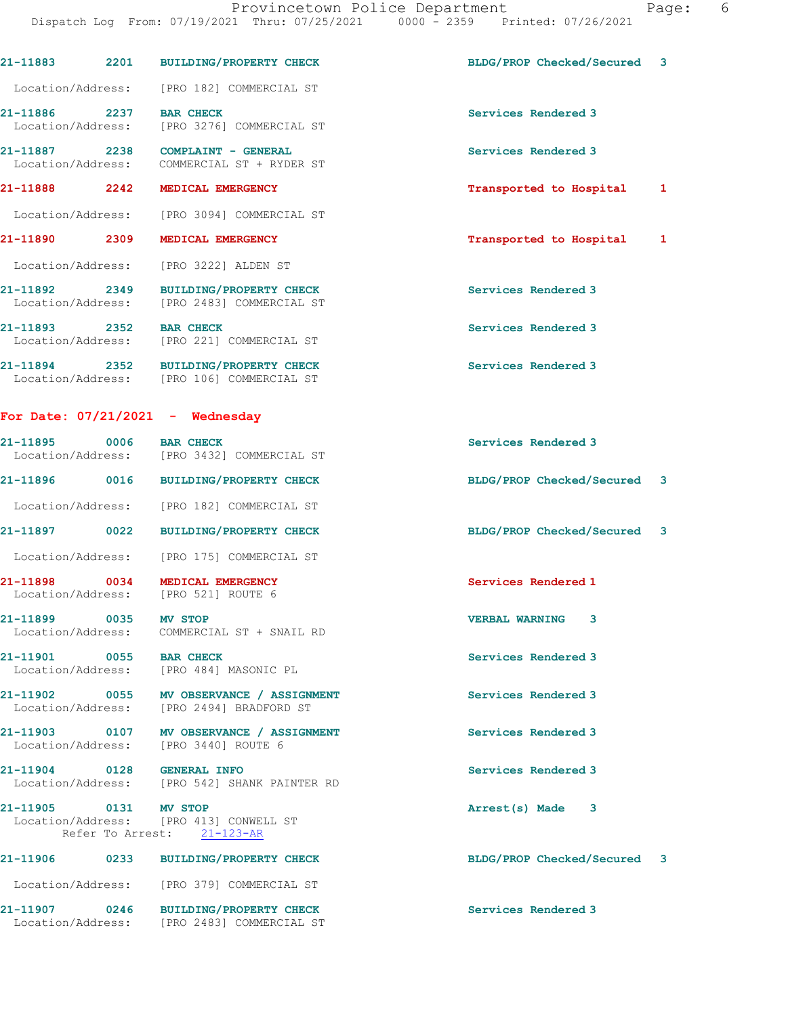|                            | 21-11883 2201 BUILDING/PROPERTY CHECK                                                | BLDG/PROP Checked/Secured 3 |   |
|----------------------------|--------------------------------------------------------------------------------------|-----------------------------|---|
|                            | Location/Address: [PRO 182] COMMERCIAL ST                                            |                             |   |
| 21-11886 2237 BAR CHECK    | Location/Address: [PRO 3276] COMMERCIAL ST                                           | Services Rendered 3         |   |
|                            | 21-11887 2238 COMPLAINT - GENERAL<br>Location/Address: COMMERCIAL ST + RYDER ST      | Services Rendered 3         |   |
|                            | 21-11888 2242 MEDICAL EMERGENCY                                                      | Transported to Hospital     | 1 |
|                            | Location/Address: [PRO 3094] COMMERCIAL ST                                           |                             |   |
|                            | 21-11890 2309 MEDICAL EMERGENCY                                                      | Transported to Hospital 1   |   |
|                            | Location/Address: [PRO 3222] ALDEN ST                                                |                             |   |
|                            | 21-11892 2349 BUILDING/PROPERTY CHECK<br>Location/Address: [PRO 2483] COMMERCIAL ST  | Services Rendered 3         |   |
| 21-11893 2352 BAR CHECK    | Location/Address: [PRO 221] COMMERCIAL ST                                            | Services Rendered 3         |   |
|                            | 21-11894 2352 BUILDING/PROPERTY CHECK<br>Location/Address: [PRO 106] COMMERCIAL ST   | Services Rendered 3         |   |
|                            | For Date: $07/21/2021$ - Wednesday                                                   |                             |   |
| 21-11895 0006 BAR CHECK    | Location/Address: [PRO 3432] COMMERCIAL ST                                           | Services Rendered 3         |   |
|                            | 21-11896 0016 BUILDING/PROPERTY CHECK                                                | BLDG/PROP Checked/Secured 3 |   |
|                            | Location/Address: [PRO 182] COMMERCIAL ST                                            |                             |   |
|                            | 21-11897 0022 BUILDING/PROPERTY CHECK                                                | BLDG/PROP Checked/Secured 3 |   |
|                            | Location/Address: [PRO 175] COMMERCIAL ST                                            |                             |   |
|                            | 21-11898 0034 MEDICAL EMERGENCY<br>Location/Address: [PRO 521] ROUTE 6               | Services Rendered 1         |   |
| 21-11899 0035 MV STOP      | Location/Address: COMMERCIAL ST + SNAIL RD                                           | <b>VERBAL WARNING</b><br>3  |   |
| 21-11901 0055 BAR CHECK    | Location/Address: [PRO 484] MASONIC PL                                               | Services Rendered 3         |   |
|                            | 21-11902 0055 MV OBSERVANCE / ASSIGNMENT<br>Location/Address: [PRO 2494] BRADFORD ST | Services Rendered 3         |   |
|                            | 21-11903 0107 MV OBSERVANCE / ASSIGNMENT<br>Location/Address: [PRO 3440] ROUTE 6     | Services Rendered 3         |   |
| 21-11904 0128 GENERAL INFO | Location/Address: [PRO 542] SHANK PAINTER RD                                         | Services Rendered 3         |   |
| 21-11905 0131 MV STOP      | Location/Address: [PRO 413] CONWELL ST<br>Refer To Arrest: 21-123-AR                 | Arrest(s) Made 3            |   |
|                            | 21-11906 0233 BUILDING/PROPERTY CHECK                                                | BLDG/PROP Checked/Secured 3 |   |
|                            | Location/Address: [PRO 379] COMMERCIAL ST                                            |                             |   |
|                            | 21-11907 0246 BUILDING/PROPERTY CHECK<br>Location/Address: [PRO 2483] COMMERCIAL ST  | Services Rendered 3         |   |
|                            |                                                                                      |                             |   |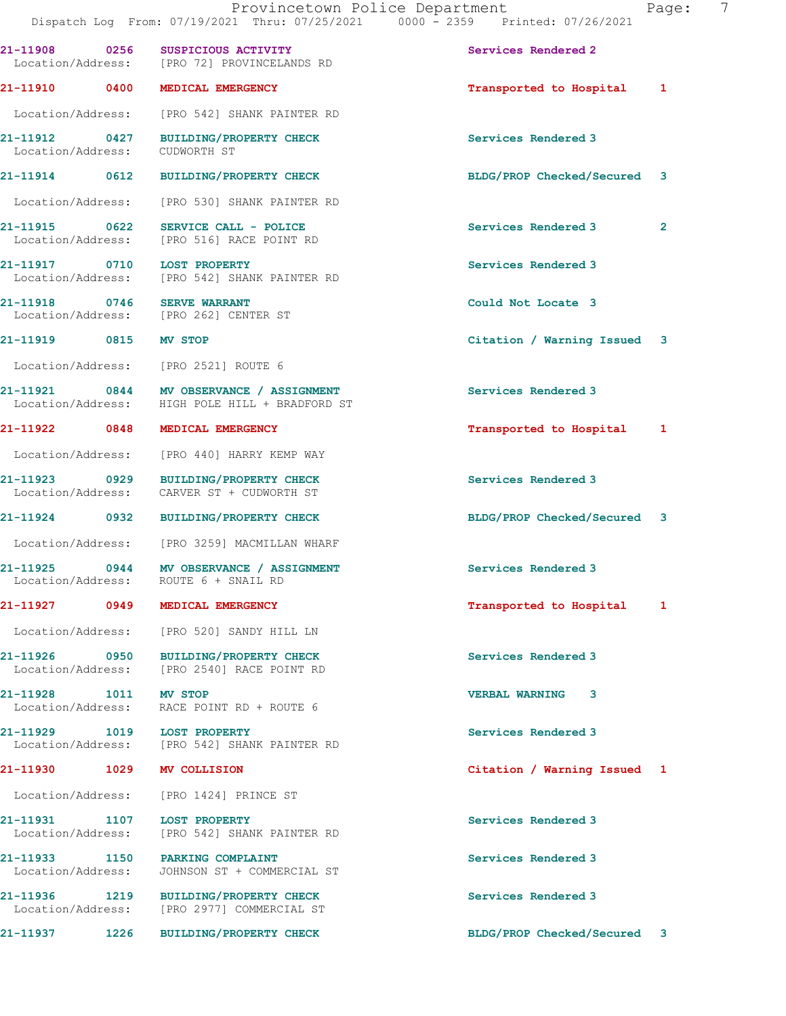| 21-11908 0256                              | SUSPICIOUS ACTIVITY<br>Location/Address: [PRO 72] PROVINCELANDS RD                         | Services Rendered 2         |                |
|--------------------------------------------|--------------------------------------------------------------------------------------------|-----------------------------|----------------|
|                                            | 21-11910 0400 MEDICAL EMERGENCY                                                            | Transported to Hospital 1   |                |
| Location/Address:                          | [PRO 542] SHANK PAINTER RD                                                                 |                             |                |
| 21-11912 0427<br>Location/Address:         | BUILDING/PROPERTY CHECK<br>CUDWORTH ST                                                     | Services Rendered 3         |                |
| 21-11914 0612                              | BUILDING/PROPERTY CHECK                                                                    | BLDG/PROP Checked/Secured 3 |                |
|                                            | Location/Address: [PRO 530] SHANK PAINTER RD                                               |                             |                |
| 21-11915 0622                              | SERVICE CALL - POLICE<br>Location/Address: [PRO 516] RACE POINT RD                         | Services Rendered 3         | $\overline{2}$ |
| 21-11917 0710                              | <b>LOST PROPERTY</b><br>Location/Address: [PRO 542] SHANK PAINTER RD                       | Services Rendered 3         |                |
| 21-11918 0746                              | <b>SERVE WARRANT</b><br>Location/Address: [PRO 262] CENTER ST                              | Could Not Locate 3          |                |
| 21-11919 0815                              | <b>MV STOP</b>                                                                             | Citation / Warning Issued 3 |                |
|                                            | Location/Address: [PRO 2521] ROUTE 6                                                       |                             |                |
|                                            | 21-11921 0844 MV OBSERVANCE / ASSIGNMENT<br>Location/Address: HIGH POLE HILL + BRADFORD ST | Services Rendered 3         |                |
| 21-11922 0848                              | MEDICAL EMERGENCY                                                                          | Transported to Hospital 1   |                |
|                                            | Location/Address: [PRO 440] HARRY KEMP WAY                                                 |                             |                |
| 21-11923 0929<br>Location/Address:         | <b>BUILDING/PROPERTY CHECK</b><br>CARVER ST + CUDWORTH ST                                  | Services Rendered 3         |                |
| 21-11924 0932                              | <b>BUILDING/PROPERTY CHECK</b>                                                             | BLDG/PROP Checked/Secured 3 |                |
|                                            | Location/Address: [PRO 3259] MACMILLAN WHARF                                               |                             |                |
|                                            | 21-11925 0944 MV OBSERVANCE / ASSIGNMENT<br>Location/Address: ROUTE 6 + SNAIL RD           | Services Rendered 3         |                |
|                                            | 21-11927 0949 MEDICAL EMERGENCY                                                            | Transported to Hospital 1   |                |
|                                            | Location/Address: [PRO 520] SANDY HILL LN                                                  |                             |                |
|                                            | 21-11926 0950 BUILDING/PROPERTY CHECK<br>Location/Address: [PRO 2540] RACE POINT RD        | Services Rendered 3         |                |
| 21-11928 1011 MV STOP<br>Location/Address: | RACE POINT RD + ROUTE 6                                                                    | <b>VERBAL WARNING 3</b>     |                |
|                                            | 21-11929 1019 LOST PROPERTY<br>Location/Address: [PRO 542] SHANK PAINTER RD                | Services Rendered 3         |                |
| 21-11930 1029                              | MV COLLISION                                                                               | Citation / Warning Issued 1 |                |
|                                            | Location/Address: [PRO 1424] PRINCE ST                                                     |                             |                |
| 21-11931 1107<br>Location/Address:         | <b>LOST PROPERTY</b><br>[PRO 542] SHANK PAINTER RD                                         | Services Rendered 3         |                |
| Location/Address:                          | 21-11933 1150 PARKING COMPLAINT<br>JOHNSON ST + COMMERCIAL ST                              | Services Rendered 3         |                |
| Location/Address:                          | 21-11936 1219 BUILDING/PROPERTY CHECK<br>[PRO 2977] COMMERCIAL ST                          | Services Rendered 3         |                |
| 21-11937                                   | <b>BUILDING/PROPERTY CHECK</b><br>1226                                                     | BLDG/PROP Checked/Secured 3 |                |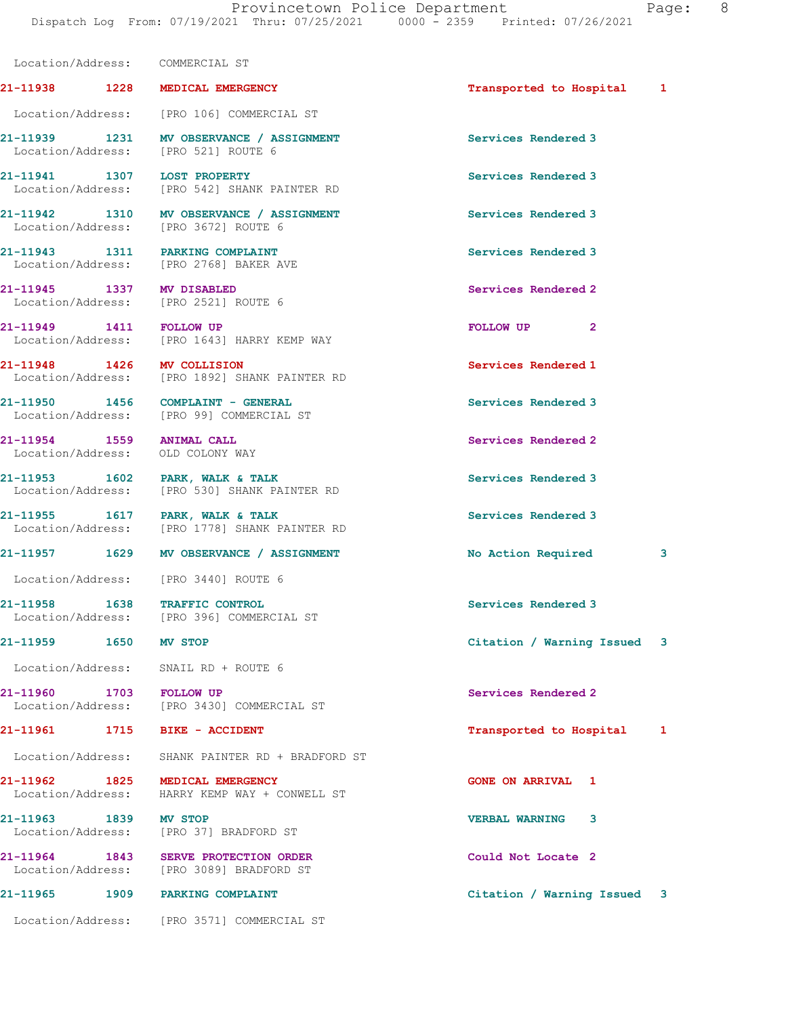|                         | Location/Address: COMMERCIAL ST                                                  |                             |   |
|-------------------------|----------------------------------------------------------------------------------|-----------------------------|---|
|                         | 21-11938 1228 MEDICAL EMERGENCY                                                  | Transported to Hospital 1   |   |
|                         | Location/Address: [PRO 106] COMMERCIAL ST                                        |                             |   |
|                         | 21-11939 1231 MV OBSERVANCE / ASSIGNMENT<br>Location/Address: [PRO 521] ROUTE 6  | Services Rendered 3         |   |
|                         | 21-11941 1307 LOST PROPERTY<br>Location/Address: [PRO 542] SHANK PAINTER RD      | Services Rendered 3         |   |
|                         | 21-11942 1310 MV OBSERVANCE / ASSIGNMENT<br>Location/Address: [PRO 3672] ROUTE 6 | Services Rendered 3         |   |
|                         | 21-11943 1311 PARKING COMPLAINT<br>Location/Address: [PRO 2768] BAKER AVE        | Services Rendered 3         |   |
|                         | 21-11945 1337 MV DISABLED<br>Location/Address: [PRO 2521] ROUTE 6                | Services Rendered 2         |   |
| 21-11949 1411 FOLLOW UP | Location/Address: [PRO 1643] HARRY KEMP WAY                                      | FOLLOW UP <sub>2</sub>      |   |
|                         | 21-11948 1426 MV COLLISION<br>Location/Address: [PRO 1892] SHANK PAINTER RD      | Services Rendered 1         |   |
|                         | $21-11950$ 1456 COMPLAINT - GENERAL<br>Location/Address: [PRO 99] COMMERCIAL ST  | Services Rendered 3         |   |
|                         | 21-11954 1559 ANIMAL CALL<br>Location/Address: OLD COLONY WAY                    | Services Rendered 2         |   |
|                         | 21-11953 1602 PARK, WALK & TALK<br>Location/Address: [PRO 530] SHANK PAINTER RD  | Services Rendered 3         |   |
|                         | 21-11955 1617 PARK, WALK & TALK<br>Location/Address: [PRO 1778] SHANK PAINTER RD | Services Rendered 3         |   |
|                         | 21-11957 1629 MV OBSERVANCE / ASSIGNMENT                                         | No Action Required          | 3 |
|                         | Location/Address: [PRO 3440] ROUTE 6                                             |                             |   |
|                         | 21-11958 1638 TRAFFIC CONTROL<br>Location/Address: [PRO 396] COMMERCIAL ST       | Services Rendered 3         |   |
| 21-11959 1650 MV STOP   |                                                                                  | Citation / Warning Issued 3 |   |
|                         | Location/Address: SNAIL RD + ROUTE 6                                             |                             |   |
|                         | 21-11960 1703 FOLLOW UP<br>Location/Address: [PRO 3430] COMMERCIAL ST            | Services Rendered 2         |   |
|                         | 21-11961 1715 BIKE - ACCIDENT                                                    | Transported to Hospital 1   |   |
|                         | Location/Address: SHANK PAINTER RD + BRADFORD ST                                 |                             |   |
|                         | 21-11962 1825 MEDICAL EMERGENCY<br>Location/Address: HARRY KEMP WAY + CONWELL ST | <b>GONE ON ARRIVAL 1</b>    |   |
| 21-11963 1839 MV STOP   | Location/Address: [PRO 37] BRADFORD ST                                           | 3<br><b>VERBAL WARNING</b>  |   |
|                         | 21-11964 1843 SERVE PROTECTION ORDER<br>Location/Address: [PRO 3089] BRADFORD ST | Could Not Locate 2          |   |
| 21-11965                | 1909 PARKING COMPLAINT                                                           | Citation / Warning Issued 3 |   |
|                         | Location/Address: [PRO 3571] COMMERCIAL ST                                       |                             |   |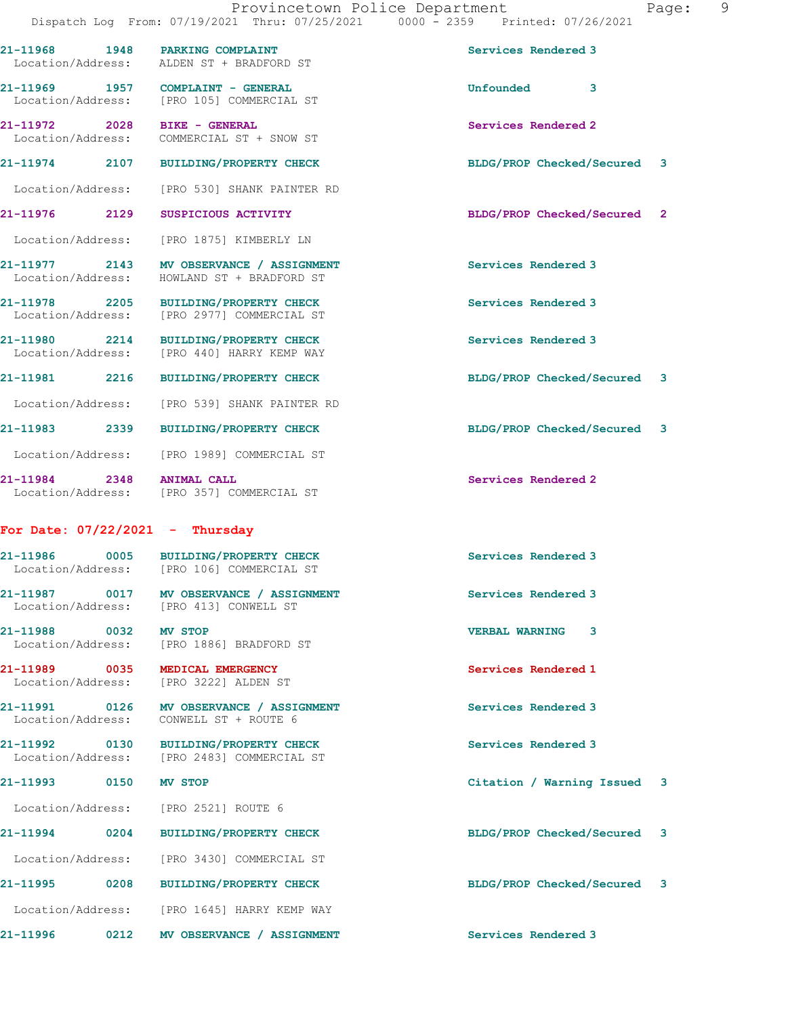21-11968 1948 PARKING COMPLAINT Services Rendered 3

21-11969 1957 COMPLAINT - GENERAL Unfounded 3 Location/Address: [PRO 105] COMMERCIAL ST 21-11972 2028 BIKE - GENERAL Services Rendered 2 Location/Address: COMMERCIAL ST + SNOW ST 21-11974 2107 BUILDING/PROPERTY CHECK BLDG/PROP Checked/Secured 3 Location/Address: [PRO 530] SHANK PAINTER RD 21-11976 2129 SUSPICIOUS ACTIVITY BLDG/PROP Checked/Secured 2 Location/Address: [PRO 1875] KIMBERLY LN 21-11977 2143 MV OBSERVANCE / ASSIGNMENT Services Rendered 3 Location/Address: HOWLAND ST + BRADFORD ST 21-11978 2205 BUILDING/PROPERTY CHECK Services Rendered 3 Location/Address: [PRO 2977] COMMERCIAL ST 21-11980 2214 BUILDING/PROPERTY CHECK Services Rendered 3 Location/Address: [PRO 440] HARRY KEMP WAY 21-11981 2216 BUILDING/PROPERTY CHECK BLDG/PROP Checked/Secured 3 Location/Address: [PRO 539] SHANK PAINTER RD 21-11983 2339 BUILDING/PROPERTY CHECK BLDG/PROP Checked/Secured 3 Location/Address: [PRO 1989] COMMERCIAL ST 21-11984 2348 ANIMAL CALL Services Rendered 2 21-11986 0005 BUILDING/PROPERTY CHECK Services Rendered 3

Location/Address: [PRO 1645] HARRY KEMP WAY

Location/Address: [PRO 357] COMMERCIAL ST

Location/Address: ALDEN ST + BRADFORD ST

## For Date: 07/22/2021 - Thursday

 Location/Address: [PRO 106] COMMERCIAL ST 21-11987 0017 MV OBSERVANCE / ASSIGNMENT Services Rendered 3 Location/Address: [PRO 413] CONWELL ST 21-11988 0032 MV STOP VERBAL WARNING 3 Location/Address: [PRO 1886] BRADFORD ST 21-11989 0035 MEDICAL EMERGENCY Services Rendered 1 Location/Address: [PRO 3222] ALDEN ST 21-11991 0126 MV OBSERVANCE / ASSIGNMENT Services Rendered 3 Location/Address: CONWELL ST + ROUTE 6 21-11992 0130 BUILDING/PROPERTY CHECK Services Rendered 3 Location/Address: [PRO 2483] COMMERCIAL ST 21-11993 0150 MV STOP Citation / Warning Issued 3 Location/Address: [PRO 2521] ROUTE 6 21-11994 0204 BUILDING/PROPERTY CHECK BLDG/PROP Checked/Secured 3 Location/Address: [PRO 3430] COMMERCIAL ST 21-11995 0208 BUILDING/PROPERTY CHECK BLDG/PROP Checked/Secured 3

21-11996 0212 MV OBSERVANCE / ASSIGNMENT Services Rendered 3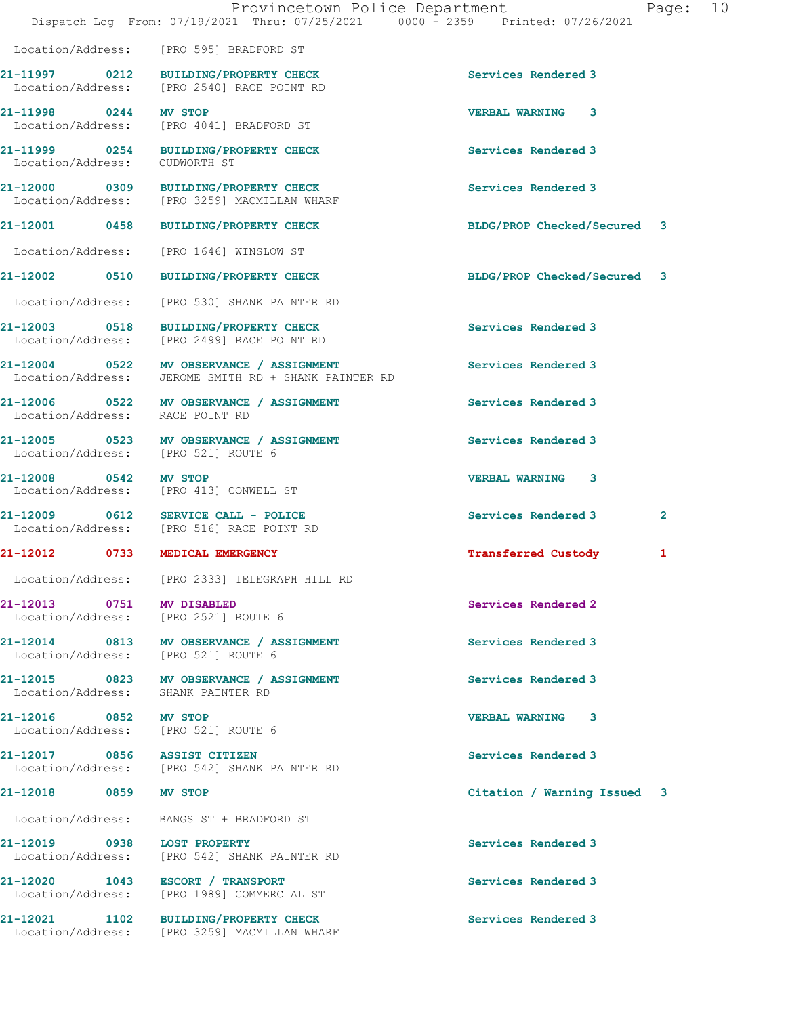|                                                                   | Location/Address: [PRO 595] BRADFORD ST                                                          |                             |              |
|-------------------------------------------------------------------|--------------------------------------------------------------------------------------------------|-----------------------------|--------------|
| 21-11997 0212                                                     | BUILDING/PROPERTY CHECK<br>Location/Address: [PRO 2540] RACE POINT RD                            | Services Rendered 3         |              |
| 21-11998 0244                                                     | MV STOP<br>Location/Address: [PRO 4041] BRADFORD ST                                              | <b>VERBAL WARNING 3</b>     |              |
| Location/Address:                                                 | 21-11999 0254 BUILDING/PROPERTY CHECK<br>CUDWORTH ST                                             | Services Rendered 3         |              |
|                                                                   | 21-12000 0309 BUILDING/PROPERTY CHECK<br>Location/Address: [PRO 3259] MACMILLAN WHARF            | Services Rendered 3         |              |
| 21-12001 0458                                                     | BUILDING/PROPERTY CHECK                                                                          | BLDG/PROP Checked/Secured 3 |              |
|                                                                   | Location/Address: [PRO 1646] WINSLOW ST                                                          |                             |              |
|                                                                   | BUILDING/PROPERTY CHECK                                                                          | BLDG/PROP Checked/Secured 3 |              |
|                                                                   | Location/Address: [PRO 530] SHANK PAINTER RD                                                     |                             |              |
| 21-12003 0518                                                     | BUILDING/PROPERTY CHECK<br>Location/Address: [PRO 2499] RACE POINT RD                            | Services Rendered 3         |              |
|                                                                   | 21-12004 0522 MV OBSERVANCE / ASSIGNMENT<br>Location/Address: JEROME SMITH RD + SHANK PAINTER RD | Services Rendered 3         |              |
| Location/Address: RACE POINT RD                                   | 21-12006 0522 MV OBSERVANCE / ASSIGNMENT                                                         | Services Rendered 3         |              |
| Location/Address: [PRO 521] ROUTE 6                               | 21-12005 0523 MV OBSERVANCE / ASSIGNMENT                                                         | Services Rendered 3         |              |
| 21-12008 0542 MV STOP<br>Location/Address: [PRO 413] CONWELL ST   |                                                                                                  | <b>VERBAL WARNING 3</b>     |              |
|                                                                   | 21-12009 0612 SERVICE CALL - POLICE<br>Location/Address: [PRO 516] RACE POINT RD                 | Services Rendered 3         | $\mathbf{2}$ |
| 21-12012 0733                                                     | MEDICAL EMERGENCY                                                                                | <b>Transferred Custody</b>  | 1            |
|                                                                   | Location/Address: [PRO 2333] TELEGRAPH HILL RD                                                   |                             |              |
| 21-12013 0751 MV DISABLED<br>Location/Address: [PRO 2521] ROUTE 6 |                                                                                                  | Services Rendered 2         |              |
| Location/Address: [PRO 521] ROUTE 6                               | 21-12014 0813 MV OBSERVANCE / ASSIGNMENT                                                         | Services Rendered 3         |              |
| Location/Address: SHANK PAINTER RD                                | 21-12015 0823 MV OBSERVANCE / ASSIGNMENT                                                         | Services Rendered 3         |              |
| 21-12016 0852 MV STOP<br>Location/Address: [PRO 521] ROUTE 6      |                                                                                                  | <b>VERBAL WARNING</b><br>3  |              |
| 21-12017 0856 ASSIST CITIZEN                                      | Location/Address: [PRO 542] SHANK PAINTER RD                                                     | Services Rendered 3         |              |
| 21-12018 0859 MV STOP                                             |                                                                                                  | Citation / Warning Issued 3 |              |
|                                                                   | Location/Address: BANGS ST + BRADFORD ST                                                         |                             |              |
| 21-12019 0938 LOST PROPERTY                                       | Location/Address: [PRO 542] SHANK PAINTER RD                                                     | Services Rendered 3         |              |
| 21-12020 1043 ESCORT / TRANSPORT                                  | Location/Address: [PRO 1989] COMMERCIAL ST                                                       | Services Rendered 3         |              |
|                                                                   | 21-12021 1102 BUILDING/PROPERTY CHECK<br>Location/Address: [PRO 3259] MACMILLAN WHARF            | Services Rendered 3         |              |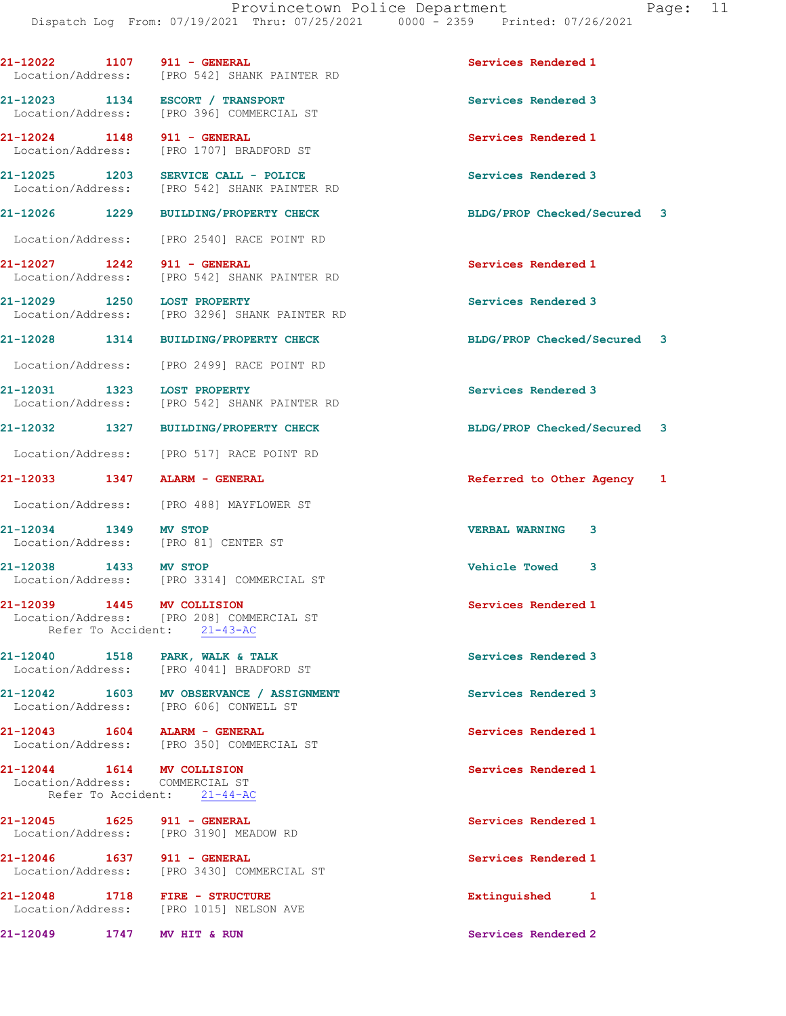21-12022 1107 911 - GENERAL Services Rendered 1 Location/Address: [PRO 542] SHANK PAINTER RD 21-12023 1134 ESCORT / TRANSPORT Services Rendered 3 Location/Address: [PRO 396] COMMERCIAL ST 21-12024 1148 911 - GENERAL Services Rendered 1 Location/Address: [PRO 1707] BRADFORD ST 21-12025 1203 SERVICE CALL - POLICE 2014 Services Rendered 3<br>
Location/Address: [PRO 542] SHANK PAINTER RD [PRO 542] SHANK PAINTER RD 21-12026 1229 BUILDING/PROPERTY CHECK BLDG/PROP Checked/Secured 3 Location/Address: [PRO 2540] RACE POINT RD 21-12027 1242 911 - GENERAL Services Rendered 1 Location/Address: [PRO 542] SHANK PAINTER RD 21-12029 1250 LOST PROPERTY Services Rendered 3 Location/Address: [PRO 3296] SHANK PAINTER RD 21-12028 1314 BUILDING/PROPERTY CHECK BLDG/PROP Checked/Secured 3 Location/Address: [PRO 2499] RACE POINT RD 21-12031 1323 LOST PROPERTY Services Rendered 3 Location/Address: [PRO 542] SHANK PAINTER RD 21-12032 1327 BUILDING/PROPERTY CHECK BLDG/PROP Checked/Secured 3 Location/Address: [PRO 517] RACE POINT RD 21-12033 1347 ALARM - GENERAL Referred to Other Agency 1 Location/Address: [PRO 488] MAYFLOWER ST 21-12034 1349 MV STOP VERBAL WARNING 3 Location/Address: [PRO 81] CENTER ST 21-12038 1433 MV STOP<br>
Location/Address: [PRO 3314] COMMERCIAL ST [PRO 3314] COMMERCIAL ST 21-12039 1445 MV COLLISION Services Rendered 1 Location/Address: [PRO 208] COMMERCIAL ST Refer To Accident: 21-43-AC 21-12040 1518 PARK, WALK & TALK 3 Services Rendered 3 Location/Address: [PRO 4041] BRADFORD ST 21-12042 1603 MV OBSERVANCE / ASSIGNMENT Services Rendered 3 Location/Address: [PRO 606] CONWELL ST 21-12043 1604 ALARM - GENERAL 21-12043 Services Rendered 1<br>
Location/Address: [PRO 350] COMMERCIAL ST [PRO 350] COMMERCIAL ST 21-12044 1614 MV COLLISION Services Rendered 1 Location/Address: COMMERCIAL ST Refer To Accident: 21-44-AC 21-12045 1625 911 - GENERAL Services Rendered 1 Location/Address: [PRO 3190] MEADOW RD 21-12046 1637 911 - GENERAL Services Rendered 1 Location/Address: [PRO 3430] COMMERCIAL ST 21-12048 1718 FIRE - STRUCTURE Extinguished 1 Location/Address: [PRO 1015] NELSON AVE 21-12049 1747 MV HIT & RUN Services Rendered 2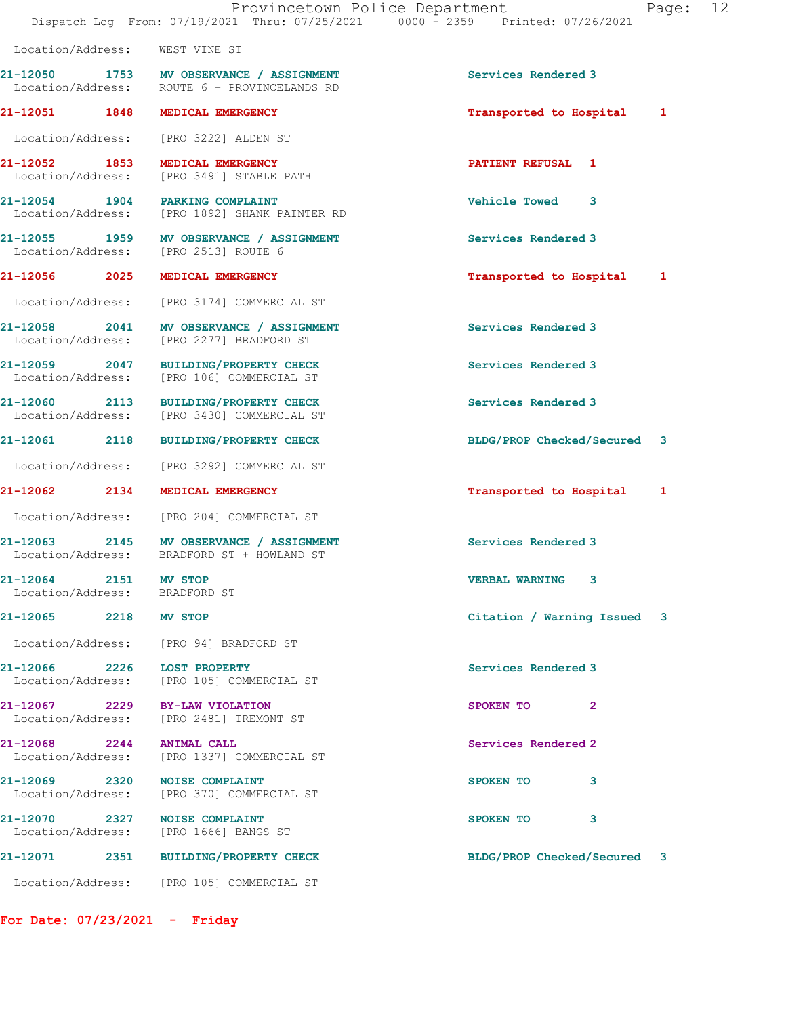|                                                        | 21-12050 1753 MV OBSERVANCE / ASSIGNMENT<br>Location/Address: ROUTE 6 + PROVINCELANDS RD | Services Rendered 3         |
|--------------------------------------------------------|------------------------------------------------------------------------------------------|-----------------------------|
|                                                        | 21-12051 1848 MEDICAL EMERGENCY                                                          | Transported to Hospital 1   |
|                                                        | Location/Address: [PRO 3222] ALDEN ST                                                    |                             |
|                                                        | 21-12052 1853 MEDICAL EMERGENCY<br>Location/Address: [PRO 3491] STABLE PATH              | <b>PATIENT REFUSAL 1</b>    |
| 21-12054 1904 PARKING COMPLAINT                        | Location/Address: [PRO 1892] SHANK PAINTER RD                                            | <b>Vehicle Towed</b><br>3   |
|                                                        | 21-12055 1959 MV OBSERVANCE / ASSIGNMENT<br>Location/Address: [PRO 2513] ROUTE 6         | Services Rendered 3         |
|                                                        | 21-12056 2025 MEDICAL EMERGENCY                                                          | Transported to Hospital 1   |
|                                                        | Location/Address: [PRO 3174] COMMERCIAL ST                                               |                             |
|                                                        | 21-12058 2041 MV OBSERVANCE / ASSIGNMENT<br>Location/Address: [PRO 2277] BRADFORD ST     | Services Rendered 3         |
|                                                        | 21-12059 2047 BUILDING/PROPERTY CHECK<br>Location/Address: [PRO 106] COMMERCIAL ST       | Services Rendered 3         |
|                                                        | 21-12060 2113 BUILDING/PROPERTY CHECK<br>Location/Address: [PRO 3430] COMMERCIAL ST      | Services Rendered 3         |
|                                                        | 21-12061 2118 BUILDING/PROPERTY CHECK                                                    | BLDG/PROP Checked/Secured 3 |
|                                                        | Location/Address: [PRO 3292] COMMERCIAL ST                                               |                             |
| 21-12062 2134                                          | MEDICAL EMERGENCY                                                                        | Transported to Hospital 1   |
|                                                        | Location/Address: [PRO 204] COMMERCIAL ST                                                |                             |
|                                                        | 21-12063 2145 MV OBSERVANCE / ASSIGNMENT<br>Location/Address: BRADFORD ST + HOWLAND ST   | Services Rendered 3         |
| 21-12064 2151 MV STOP<br>Location/Address: BRADFORD ST |                                                                                          | VERBAL WARNING 3            |
| 21-12065 2218 MV STOP                                  |                                                                                          | Citation / Warning Issued 3 |
|                                                        | Location/Address: [PRO 94] BRADFORD ST                                                   |                             |
|                                                        | 21-12066 2226 LOST PROPERTY<br>Location/Address: [PRO 105] COMMERCIAL ST                 | Services Rendered 3         |
|                                                        | 21-12067 2229 BY-LAW VIOLATION<br>Location/Address: [PRO 2481] TREMONT ST                | SPOKEN TO<br>$\overline{2}$ |
| 21-12068 2244 ANIMAL CALL                              | Location/Address: [PRO 1337] COMMERCIAL ST                                               | Services Rendered 2         |
| 21-12069 2320                                          | <b>NOISE COMPLAINT</b><br>Location/Address: [PRO 370] COMMERCIAL ST                      | 3<br>SPOKEN TO              |
| 21-12070 2327 NOISE COMPLAINT                          | Location/Address: [PRO 1666] BANGS ST                                                    | 3<br>SPOKEN TO              |
|                                                        | 21-12071 2351 BUILDING/PROPERTY CHECK                                                    | BLDG/PROP Checked/Secured 3 |
|                                                        | Location/Address: [PRO 105] COMMERCIAL ST                                                |                             |

For Date: 07/23/2021 - Friday

Location/Address: WEST VINE ST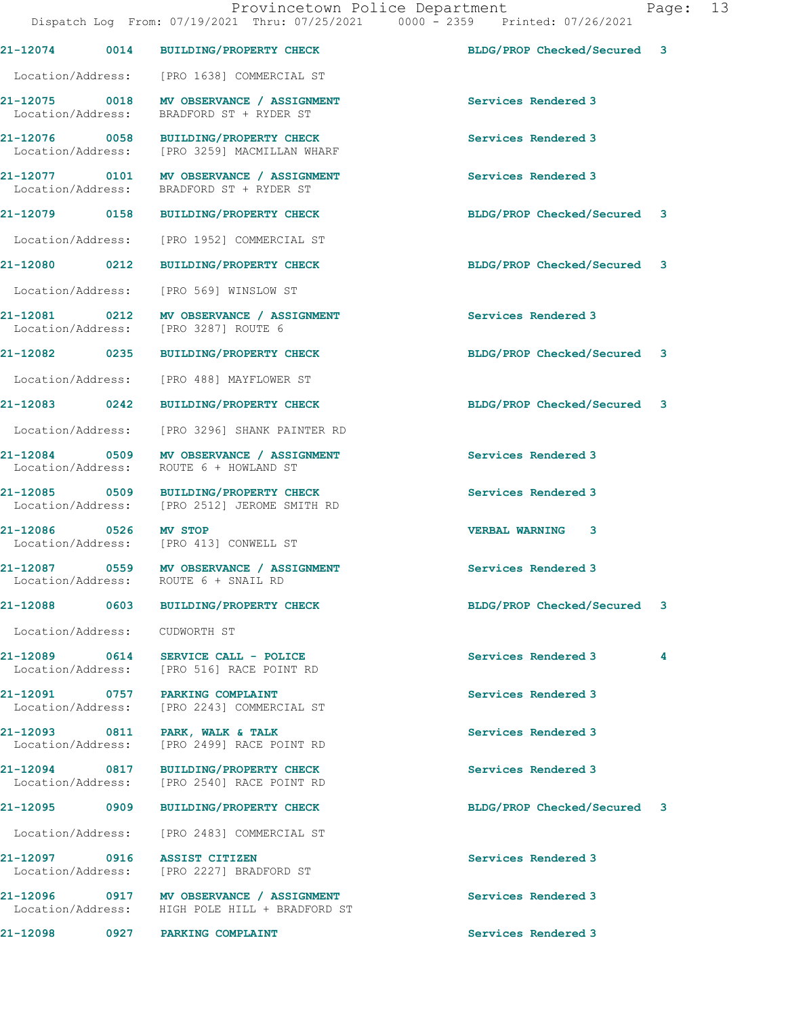21-12074 0014 BUILDING/PROPERTY CHECK BLDG/PROP Checked/Secured 3

|                       | Location/Address: [PRO 1638] COMMERCIAL ST                                                 |                             |  |
|-----------------------|--------------------------------------------------------------------------------------------|-----------------------------|--|
|                       | 21-12075 0018 MV OBSERVANCE / ASSIGNMENT<br>Location/Address: BRADFORD ST + RYDER ST       | Services Rendered 3         |  |
|                       | 21-12076 0058 BUILDING/PROPERTY CHECK<br>Location/Address: [PRO 3259] MACMILLAN WHARF      | Services Rendered 3         |  |
|                       | 21-12077 0101 MV OBSERVANCE / ASSIGNMENT<br>Location/Address: BRADFORD ST + RYDER ST       | Services Rendered 3         |  |
|                       | 21-12079 0158 BUILDING/PROPERTY CHECK                                                      | BLDG/PROP Checked/Secured 3 |  |
|                       | Location/Address: [PRO 1952] COMMERCIAL ST                                                 |                             |  |
| 21-12080 0212         | <b>BUILDING/PROPERTY CHECK</b>                                                             | BLDG/PROP Checked/Secured 3 |  |
|                       | Location/Address: [PRO 569] WINSLOW ST                                                     |                             |  |
| Location/Address:     | 21-12081 0212 MV OBSERVANCE / ASSIGNMENT<br>[PRO 3287] ROUTE 6                             | Services Rendered 3         |  |
|                       | 21-12082 0235 BUILDING/PROPERTY CHECK                                                      | BLDG/PROP Checked/Secured 3 |  |
|                       | Location/Address: [PRO 488] MAYFLOWER ST                                                   |                             |  |
| 21-12083 0242         | <b>BUILDING/PROPERTY CHECK</b>                                                             | BLDG/PROP Checked/Secured 3 |  |
|                       | Location/Address: [PRO 3296] SHANK PAINTER RD                                              |                             |  |
|                       | 21-12084 0509 MV OBSERVANCE / ASSIGNMENT<br>Location/Address: ROUTE 6 + HOWLAND ST         | Services Rendered 3         |  |
|                       | 21-12085 0509 BUILDING/PROPERTY CHECK<br>Location/Address: [PRO 2512] JEROME SMITH RD      | Services Rendered 3         |  |
| 21-12086 0526 MV STOP | Location/Address: [PRO 413] CONWELL ST                                                     | VERBAL WARNING 3            |  |
|                       | 21-12087 0559 MV OBSERVANCE / ASSIGNMENT<br>Location/Address: ROUTE 6 + SNAIL RD           | Services Rendered 3         |  |
|                       | 21-12088 0603 BUILDING/PROPERTY CHECK                                                      | BLDG/PROP Checked/Secured 3 |  |
|                       | Location/Address: CUDWORTH ST                                                              |                             |  |
| 21-12089 0614         | SERVICE CALL - POLICE<br>Location/Address: [PRO 516] RACE POINT RD                         | Services Rendered 3<br>4    |  |
|                       | 21-12091 0757 PARKING COMPLAINT<br>Location/Address: [PRO 2243] COMMERCIAL ST              | Services Rendered 3         |  |
| Location/Address:     | 21-12093 0811 PARK, WALK & TALK<br>[PRO 2499] RACE POINT RD                                | Services Rendered 3         |  |
|                       | 21-12094 0817 BUILDING/PROPERTY CHECK<br>Location/Address: [PRO 2540] RACE POINT RD        | Services Rendered 3         |  |
| 21-12095    0909      | <b>BUILDING/PROPERTY CHECK</b>                                                             | BLDG/PROP Checked/Secured 3 |  |
|                       | Location/Address: [PRO 2483] COMMERCIAL ST                                                 |                             |  |
|                       | Location/Address: [PRO 2227] BRADFORD ST                                                   | Services Rendered 3         |  |
|                       | 21-12096 0917 MV OBSERVANCE / ASSIGNMENT<br>Location/Address: HIGH POLE HILL + BRADFORD ST | Services Rendered 3         |  |
|                       | 21-12098 0927 PARKING COMPLAINT                                                            | Services Rendered 3         |  |
|                       |                                                                                            |                             |  |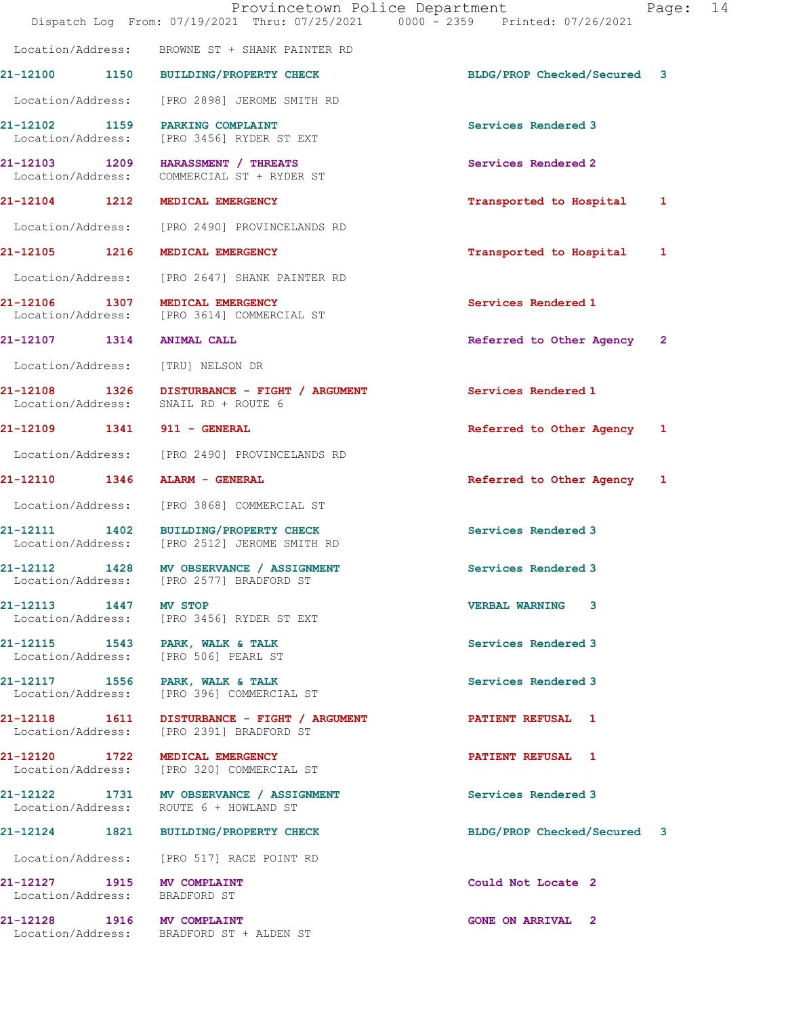|                       | Dispatch Log From: 07/19/2021 Thru: 07/25/2021 0000 - 2359 Printed: 07/26/2021           | Provincetown Police Department<br>14<br>Page: |  |
|-----------------------|------------------------------------------------------------------------------------------|-----------------------------------------------|--|
| Location/Address:     | BROWNE ST + SHANK PAINTER RD                                                             |                                               |  |
|                       | 21-12100 1150 BUILDING/PROPERTY CHECK                                                    | BLDG/PROP Checked/Secured 3                   |  |
|                       | Location/Address: [PRO 2898] JEROME SMITH RD                                             |                                               |  |
|                       | 21-12102 1159 PARKING COMPLAINT<br>Location/Address: [PRO 3456] RYDER ST EXT             | Services Rendered 3                           |  |
| Location/Address:     | 21-12103 1209 HARASSMENT / THREATS<br>COMMERCIAL ST + RYDER ST                           | Services Rendered 2                           |  |
|                       | 21-12104 1212 MEDICAL EMERGENCY                                                          | Transported to Hospital<br>1                  |  |
|                       | Location/Address: [PRO 2490] PROVINCELANDS RD                                            |                                               |  |
| 21-12105 1216         | MEDICAL EMERGENCY                                                                        | Transported to Hospital<br>1                  |  |
|                       | Location/Address: [PRO 2647] SHANK PAINTER RD                                            |                                               |  |
|                       | 21-12106 1307 MEDICAL EMERGENCY<br>Location/Address: [PRO 3614] COMMERCIAL ST            | Services Rendered 1                           |  |
| 21-12107 1314         | <b>ANIMAL CALL</b>                                                                       | Referred to Other Agency 2                    |  |
|                       | Location/Address: [TRU] NELSON DR                                                        |                                               |  |
|                       | 21-12108 1326 DISTURBANCE - FIGHT / ARGUMENT<br>Location/Address: SNAIL RD + ROUTE 6     | Services Rendered 1                           |  |
|                       | 21-12109 1341 911 - GENERAL                                                              | Referred to Other Agency 1                    |  |
|                       | Location/Address: [PRO 2490] PROVINCELANDS RD                                            |                                               |  |
|                       | 21-12110 1346 ALARM - GENERAL                                                            | Referred to Other Agency 1                    |  |
|                       | Location/Address: [PRO 3868] COMMERCIAL ST                                               |                                               |  |
|                       | 21-12111 1402 BUILDING/PROPERTY CHECK<br>Location/Address: [PRO 2512] JEROME SMITH RD    | Services Rendered 3                           |  |
|                       | 21-12112 1428 MV OBSERVANCE / ASSIGNMENT<br>Location/Address: [PRO 2577] BRADFORD ST     | Services Rendered 3                           |  |
| 21-12113 1447 MV STOP | Location/Address: [PRO 3456] RYDER ST EXT                                                | <b>VERBAL WARNING 3</b>                       |  |
|                       | 21-12115 1543 PARK, WALK & TALK<br>Location/Address: [PRO 506] PEARL ST                  | Services Rendered 3                           |  |
|                       | 21-12117 1556 PARK, WALK & TALK<br>Location/Address: [PRO 396] COMMERCIAL ST             | Services Rendered 3                           |  |
|                       | 21-12118 1611 DISTURBANCE - FIGHT / ARGUMENT<br>Location/Address: [PRO 2391] BRADFORD ST | <b>PATIENT REFUSAL 1</b>                      |  |
|                       | 21-12120 1722 MEDICAL EMERGENCY<br>Location/Address: [PRO 320] COMMERCIAL ST             | PATIENT REFUSAL 1                             |  |
|                       | 21-12122 1731 MV OBSERVANCE / ASSIGNMENT<br>Location/Address: ROUTE 6 + HOWLAND ST       | Services Rendered 3                           |  |
|                       | 21-12124 1821 BUILDING/PROPERTY CHECK                                                    | BLDG/PROP Checked/Secured 3                   |  |
|                       | Location/Address: [PRO 517] RACE POINT RD                                                |                                               |  |
|                       | 21-12127 1915 MV COMPLAINT<br>Location/Address: BRADFORD ST                              | Could Not Locate 2                            |  |
|                       | 21-12128 1916 MV COMPLAINT<br>Location/Address: BRADFORD ST + ALDEN ST                   | <b>GONE ON ARRIVAL 2</b>                      |  |
|                       |                                                                                          |                                               |  |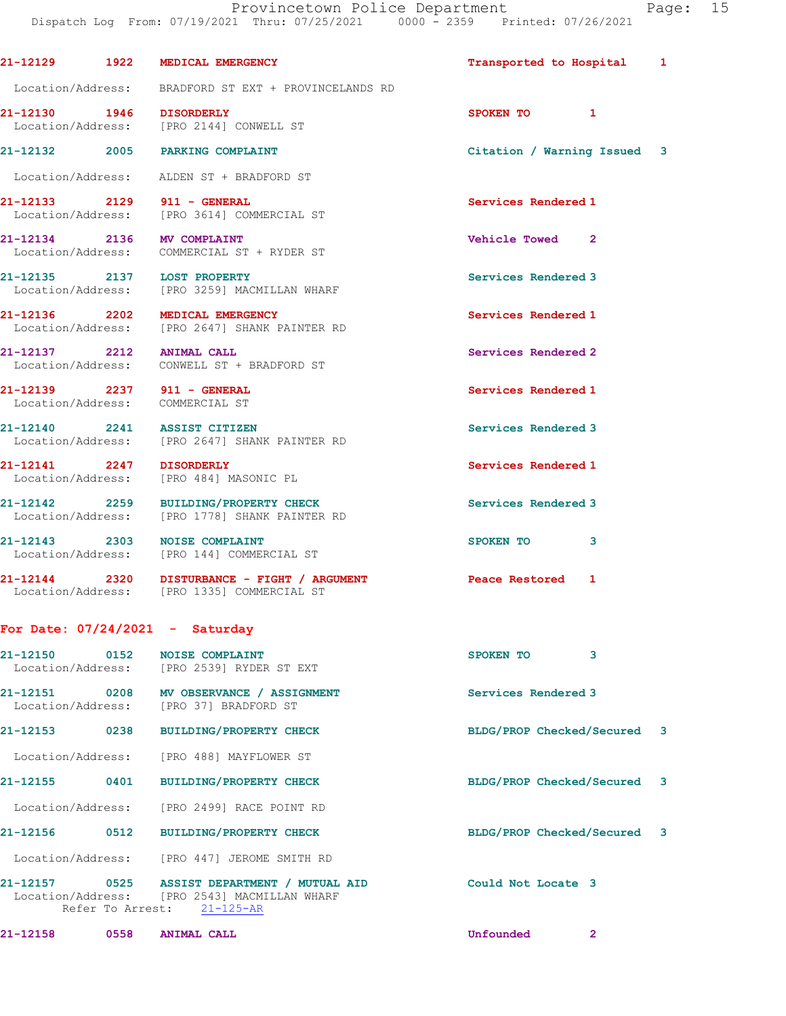Provincetown Police Department Page: 15 Dispatch Log From: 07/19/2021 Thru: 07/25/2021 0000 - 2359 Printed: 07/26/2021 21-12129 1922 MEDICAL EMERGENCY Transported to Hospital 1 Location/Address: BRADFORD ST EXT + PROVINCELANDS RD 21-12130 1946 DISORDERLY SPOKEN TO 1 Location/Address: [PRO 2144] CONWELL ST 21-12132 2005 PARKING COMPLAINT Citation / Warning Issued 3 Location/Address: ALDEN ST + BRADFORD ST 21-12133 2129 911 - GENERAL 21 Services Rendered 1<br>
Location/Address: [PRO 3614] COMMERCIAL ST [PRO 3614] COMMERCIAL ST 21-12134 2136 MV COMPLAINT Vehicle Towed 2 Location/Address: COMMERCIAL ST + RYDER ST 21-12135 2137 LOST PROPERTY Services Rendered 3 Location/Address: [PRO 3259] MACMILLAN WHARF 21-12136 2202 MEDICAL EMERGENCY Services Rendered 1 Location/Address: [PRO 2647] SHANK PAINTER RD 21-12137 2212 ANIMAL CALL 21-12137 2212 Location/Address: CONWELL ST + BRADFORD ST 21-12139 2237 911 - GENERAL Services Rendered 1 Location/Address: COMMERCIAL ST 21-12140 2241 ASSIST CITIZEN Services Rendered 3 Location/Address: [PRO 2647] SHANK PAINTER RD 21-12141 2247 DISORDERLY Services Rendered 1 Location/Address: [PRO 484] MASONIC PL 21-12142 2259 BUILDING/PROPERTY CHECK Services Rendered 3 Location/Address: [PRO 1778] SHANK PAINTER RD 21-12143 2303 NOISE COMPLAINT SPOKEN TO 3<br>
Location/Address: [PRO 144] COMMERCIAL ST [PRO 144] COMMERCIAL ST 21-12144 2320 DISTURBANCE - FIGHT / ARGUMENT Peace Restored 1 Location/Address: [PRO 1335] COMMERCIAL ST

## For Date: 07/24/2021 - Saturday

| 21-12150<br>0152              | <b>NOISE COMPLAINT</b><br>Location/Address: [PRO 2539] RYDER ST EXT | <b>SPOKEN TO</b>            | 3              |  |
|-------------------------------|---------------------------------------------------------------------|-----------------------------|----------------|--|
| 21-12151<br>Location/Address: | 0208 MV OBSERVANCE / ASSIGNMENT<br>[PRO 37] BRADFORD ST             | Services Rendered 3         |                |  |
| 0238<br>21-12153              | <b>BUILDING/PROPERTY CHECK</b>                                      | BLDG/PROP Checked/Secured 3 |                |  |
|                               | Location/Address: [PRO 488] MAYFLOWER ST                            |                             |                |  |
| 21-12155<br>0401              | <b>BUILDING/PROPERTY CHECK</b>                                      | BLDG/PROP Checked/Secured 3 |                |  |
|                               | Location/Address: [PRO 2499] RACE POINT RD                          |                             |                |  |
| 0512<br>21-12156              | <b>BUILDING/PROPERTY CHECK</b>                                      | BLDG/PROP Checked/Secured 3 |                |  |
|                               | Location/Address: [PRO 447] JEROME SMITH RD                         |                             |                |  |
| Refer To Arrest:              | Location/Address: [PRO 2543] MACMILLAN WHARF<br>21-125-AR           | Could Not Locate 3          |                |  |
| 21-12158<br>0558              | <b>ANIMAL CALL</b>                                                  | Unfounded                   | $\overline{2}$ |  |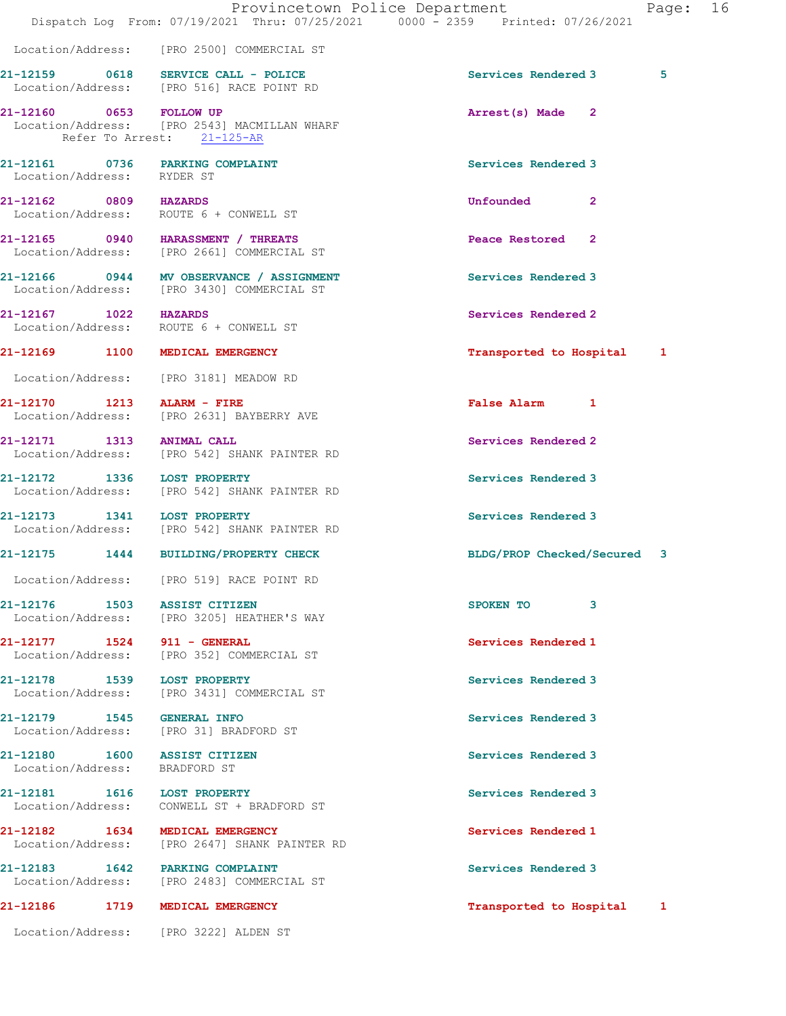|                                                                      | Provincetown Police Department<br>Dispatch Log From: 07/19/2021 Thru: 07/25/2021 0000 - 2359 Printed: 07/26/2021 | Page:                            | 16 |
|----------------------------------------------------------------------|------------------------------------------------------------------------------------------------------------------|----------------------------------|----|
|                                                                      | Location/Address: [PRO 2500] COMMERCIAL ST                                                                       |                                  |    |
|                                                                      | 21-12159 0618 SERVICE CALL - POLICE<br>Location/Address: [PRO 516] RACE POINT RD                                 | 5<br>Services Rendered 3         |    |
| 21-12160 0653 FOLLOW UP                                              | Location/Address: [PRO 2543] MACMILLAN WHARF<br>Refer To Arrest: 21-125-AR                                       | Arrest(s) Made 2                 |    |
| 21-12161 0736 PARKING COMPLAINT<br>Location/Address: RYDER ST        |                                                                                                                  | Services Rendered 3              |    |
| 21-12162 0809 HAZARDS<br>Location/Address: ROUTE 6 + CONWELL ST      |                                                                                                                  | <b>Unfounded</b><br>$\mathbf{2}$ |    |
|                                                                      | 21-12165 0940 HARASSMENT / THREATS<br>Location/Address: [PRO 2661] COMMERCIAL ST                                 | Peace Restored 2                 |    |
|                                                                      | 21-12166 0944 MV OBSERVANCE / ASSIGNMENT<br>Location/Address: [PRO 3430] COMMERCIAL ST                           | Services Rendered 3              |    |
| 21-12167 1022 HAZARDS<br>Location/Address: ROUTE 6 + CONWELL ST      |                                                                                                                  | Services Rendered 2              |    |
| 21-12169 1100 MEDICAL EMERGENCY                                      |                                                                                                                  | Transported to Hospital 1        |    |
| Location/Address: [PRO 3181] MEADOW RD<br>21-12170 1213 ALARM - FIRE | Location/Address: [PRO 2631] BAYBERRY AVE                                                                        | False Alarm 1                    |    |
| 21-12171 1313 ANIMAL CALL                                            | Location/Address: [PRO 542] SHANK PAINTER RD                                                                     | Services Rendered 2              |    |
|                                                                      | 21-12172 1336 LOST PROPERTY<br>Location/Address: [PRO 542] SHANK PAINTER RD                                      | Services Rendered 3              |    |
|                                                                      | 21-12173 1341 LOST PROPERTY<br>Location/Address: [PRO 542] SHANK PAINTER RD                                      | Services Rendered 3              |    |
|                                                                      | 21-12175 1444 BUILDING/PROPERTY CHECK                                                                            | BLDG/PROP Checked/Secured 3      |    |
|                                                                      | Location/Address: [PRO 519] RACE POINT RD                                                                        |                                  |    |
| 21-12176 1503 ASSIST CITIZEN                                         | Location/Address: [PRO 3205] HEATHER'S WAY                                                                       | SPOKEN TO<br>3                   |    |
| 21-12177 1524 911 - GENERAL                                          | Location/Address: [PRO 352] COMMERCIAL ST                                                                        | Services Rendered 1              |    |
| 21-12178 1539 LOST PROPERTY                                          | Location/Address: [PRO 3431] COMMERCIAL ST                                                                       | Services Rendered 3              |    |
| 21-12179 1545 GENERAL INFO<br>Location/Address: [PRO 31] BRADFORD ST |                                                                                                                  | Services Rendered 3              |    |
| 21-12180 1600 ASSIST CITIZEN<br>Location/Address: BRADFORD ST        |                                                                                                                  | Services Rendered 3              |    |
| 21-12181 1616 LOST PROPERTY                                          | Location/Address: CONWELL ST + BRADFORD ST                                                                       | Services Rendered 3              |    |
| 21-12182 1634 MEDICAL EMERGENCY                                      | Location/Address: [PRO 2647] SHANK PAINTER RD                                                                    | Services Rendered 1              |    |
| 21-12183 1642 PARKING COMPLAINT                                      | Location/Address: [PRO 2483] COMMERCIAL ST                                                                       | Services Rendered 3              |    |
| 21-12186 1719 MEDICAL EMERGENCY                                      |                                                                                                                  | Transported to Hospital 1        |    |
| Location/Address: [PRO 3222] ALDEN ST                                |                                                                                                                  |                                  |    |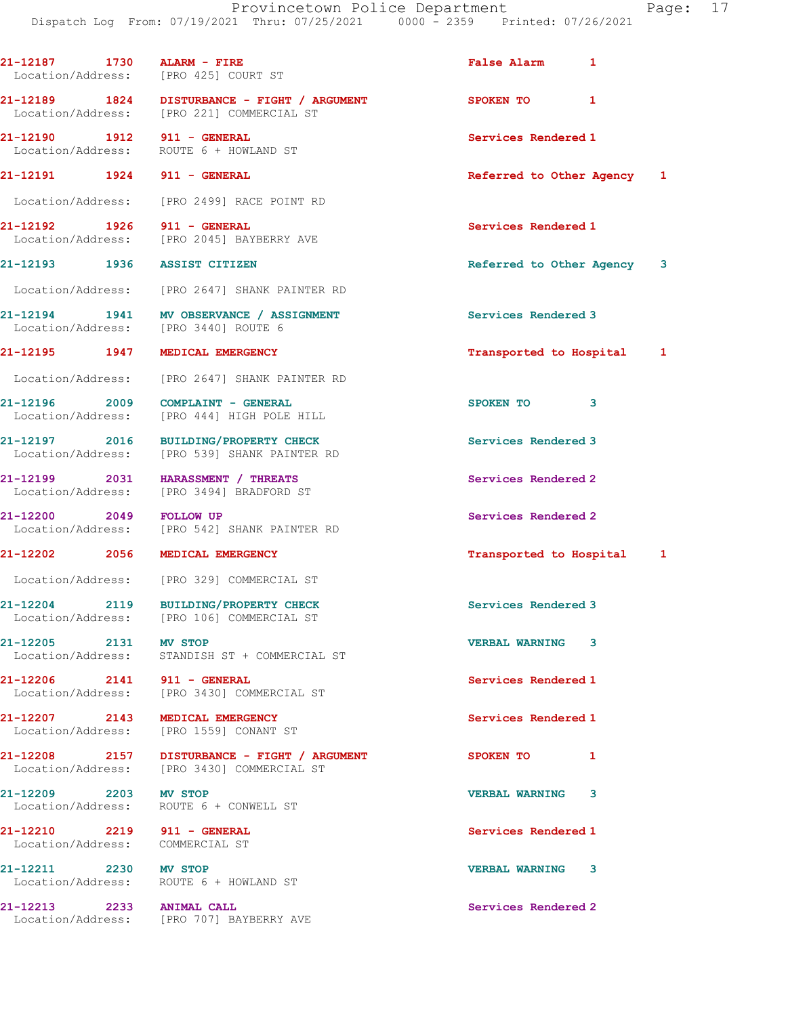| 21-12187 1730 ALARM - FIRE                                     | Location/Address: [PRO 425] COURT ST                                                                  | <b>False Alarm</b><br>1    |  |
|----------------------------------------------------------------|-------------------------------------------------------------------------------------------------------|----------------------------|--|
|                                                                | 21-12189 1824 DISTURBANCE - FIGHT / ARGUMENT<br>Location/Address: [PRO 221] COMMERCIAL ST             | SPOKEN TO<br>1             |  |
| 21-12190 1912 911 - GENERAL                                    | Location/Address: ROUTE 6 + HOWLAND ST                                                                | Services Rendered 1        |  |
| 21-12191    1924    911 - GENERAL                              |                                                                                                       | Referred to Other Agency 1 |  |
|                                                                | Location/Address: [PRO 2499] RACE POINT RD                                                            |                            |  |
| 21-12192 1926                                                  | 911 - GENERAL<br>Location/Address: [PRO 2045] BAYBERRY AVE                                            | Services Rendered 1        |  |
| 21-12193 1936 ASSIST CITIZEN                                   |                                                                                                       | Referred to Other Agency 3 |  |
|                                                                | Location/Address: [PRO 2647] SHANK PAINTER RD                                                         |                            |  |
|                                                                | 21-12194 1941 MV OBSERVANCE / ASSIGNMENT<br>Location/Address: [PRO 3440] ROUTE 6                      | Services Rendered 3        |  |
| 21-12195 1947                                                  | MEDICAL EMERGENCY                                                                                     | Transported to Hospital 1  |  |
| Location/Address:                                              | [PRO 2647] SHANK PAINTER RD                                                                           |                            |  |
| 21-12196 2009<br>Location/Address:                             | COMPLAINT - GENERAL<br>[PRO 444] HIGH POLE HILL                                                       | SPOKEN TO<br>3             |  |
|                                                                | 21-12197 2016 BUILDING/PROPERTY CHECK<br>Location/Address: [PRO 539] SHANK PAINTER RD                 | Services Rendered 3        |  |
|                                                                | 21-12199 2031 HARASSMENT / THREATS<br>Services Rendered 2<br>Location/Address: [PRO 3494] BRADFORD ST |                            |  |
| 21-12200 2049 FOLLOW UP                                        | Services Rendered 2<br>Location/Address: [PRO 542] SHANK PAINTER RD                                   |                            |  |
|                                                                | 21-12202 2056 MEDICAL EMERGENCY                                                                       | Transported to Hospital 1  |  |
|                                                                | Location/Address: [PRO 329] COMMERCIAL ST                                                             |                            |  |
| 21-12204 2119                                                  | <b>BUILDING/PROPERTY CHECK</b><br>Location/Address: [PRO 106] COMMERCIAL ST                           | Services Rendered 3        |  |
| 21-12205 2131 MV STOP                                          | Location/Address: STANDISH ST + COMMERCIAL ST                                                         | <b>VERBAL WARNING</b><br>3 |  |
| 21-12206 2141 911 - GENERAL                                    | Location/Address: [PRO 3430] COMMERCIAL ST                                                            | Services Rendered 1        |  |
|                                                                | 21-12207 2143 MEDICAL EMERGENCY<br>Location/Address: [PRO 1559] CONANT ST                             | Services Rendered 1        |  |
|                                                                | 21-12208 2157 DISTURBANCE - FIGHT / ARGUMENT<br>Location/Address: [PRO 3430] COMMERCIAL ST            | SPOKEN TO<br>1             |  |
| 21-12209 2203 MV STOP                                          | Location/Address: ROUTE 6 + CONWELL ST                                                                | <b>VERBAL WARNING</b><br>3 |  |
| 21-12210 2219 911 - GENERAL<br>Location/Address: COMMERCIAL ST |                                                                                                       | Services Rendered 1        |  |
| 21-12211 2230 MV STOP                                          | Location/Address: ROUTE 6 + HOWLAND ST                                                                | <b>VERBAL WARNING</b><br>3 |  |
| 21-12213 2233 ANIMAL CALL                                      | Location/Address: [PRO 707] BAYBERRY AVE                                                              | Services Rendered 2        |  |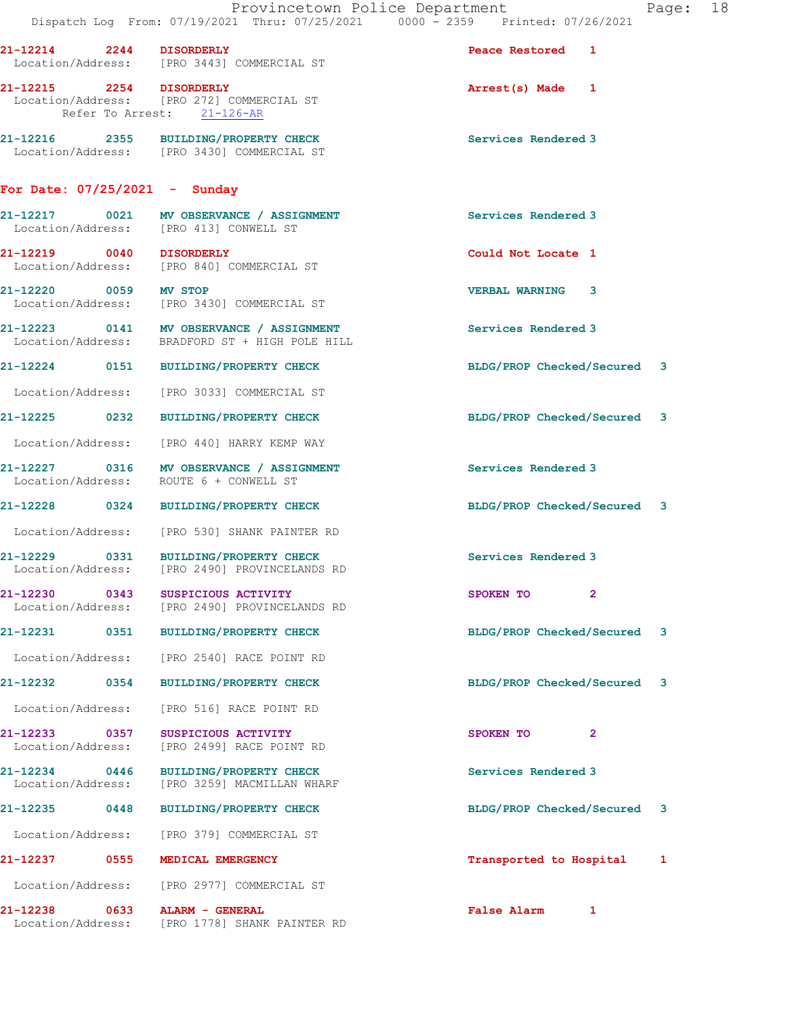|                                    |      | Provincetown Police Department<br>Dispatch Log From: 07/19/2021 Thru: 07/25/2021 0000 - 2359 Printed: 07/26/2021 |                             |                | Page: 18 |  |
|------------------------------------|------|------------------------------------------------------------------------------------------------------------------|-----------------------------|----------------|----------|--|
| 21-12214 2244 DISORDERLY           |      | Location/Address: [PRO 3443] COMMERCIAL ST                                                                       | Peace Restored 1            |                |          |  |
| 21-12215 2254 DISORDERLY           |      | Location/Address: [PRO 272] COMMERCIAL ST<br>Refer To Arrest: 21-126-AR                                          | Arrest(s) Made 1            |                |          |  |
|                                    |      | 21-12216 2355 BUILDING/PROPERTY CHECK<br>Location/Address: [PRO 3430] COMMERCIAL ST                              | Services Rendered 3         |                |          |  |
| For Date: $07/25/2021$ - Sunday    |      |                                                                                                                  |                             |                |          |  |
|                                    |      | 21-12217 0021 MV OBSERVANCE / ASSIGNMENT<br>Location/Address: [PRO 413] CONWELL ST                               | Services Rendered 3         |                |          |  |
| 21-12219 0040 DISORDERLY           |      | Location/Address: [PRO 840] COMMERCIAL ST                                                                        | Could Not Locate 1          |                |          |  |
| 21-12220 0059 MV STOP              |      | Location/Address: [PRO 3430] COMMERCIAL ST                                                                       | <b>VERBAL WARNING 3</b>     |                |          |  |
|                                    |      | 21-12223 0141 MV OBSERVANCE / ASSIGNMENT<br>Location/Address: BRADFORD ST + HIGH POLE HILL                       | Services Rendered 3         |                |          |  |
|                                    |      | 21-12224 0151 BUILDING/PROPERTY CHECK                                                                            | BLDG/PROP Checked/Secured 3 |                |          |  |
|                                    |      | Location/Address: [PRO 3033] COMMERCIAL ST                                                                       |                             |                |          |  |
|                                    |      | 21-12225 0232 BUILDING/PROPERTY CHECK                                                                            | BLDG/PROP Checked/Secured 3 |                |          |  |
|                                    |      | Location/Address: [PRO 440] HARRY KEMP WAY                                                                       |                             |                |          |  |
|                                    |      | 21-12227 0316 MV OBSERVANCE / ASSIGNMENT<br>Location/Address: ROUTE 6 + CONWELL ST                               | Services Rendered 3         |                |          |  |
|                                    |      | 21-12228 0324 BUILDING/PROPERTY CHECK                                                                            | BLDG/PROP Checked/Secured 3 |                |          |  |
|                                    |      | Location/Address: [PRO 530] SHANK PAINTER RD                                                                     |                             |                |          |  |
|                                    |      | 21-12229 0331 BUILDING/PROPERTY CHECK<br>Location/Address: [PRO 2490] PROVINCELANDS RD                           | Services Rendered 3         |                |          |  |
| 21-12230 0343                      |      | SUSPICIOUS ACTIVITY<br>Location/Address: [PRO 2490] PROVINCELANDS RD                                             | SPOKEN TO                   | $\overline{2}$ |          |  |
| 21-12231 0351                      |      | <b>BUILDING/PROPERTY CHECK</b>                                                                                   | BLDG/PROP Checked/Secured   |                | 3        |  |
| Location/Address:                  |      | [PRO 2540] RACE POINT RD                                                                                         |                             |                |          |  |
| 21-12232 0354                      |      | <b>BUILDING/PROPERTY CHECK</b>                                                                                   | BLDG/PROP Checked/Secured 3 |                |          |  |
| Location/Address:                  |      | [PRO 516] RACE POINT RD                                                                                          |                             |                |          |  |
| 21-12233 0357<br>Location/Address: |      | SUSPICIOUS ACTIVITY<br>[PRO 2499] RACE POINT RD                                                                  | SPOKEN TO                   | 2              |          |  |
| 21-12234 0446<br>Location/Address: |      | <b>BUILDING/PROPERTY CHECK</b><br>[PRO 3259] MACMILLAN WHARF                                                     | Services Rendered 3         |                |          |  |
| 21-12235                           | 0448 | <b>BUILDING/PROPERTY CHECK</b>                                                                                   | BLDG/PROP Checked/Secured 3 |                |          |  |
| Location/Address:                  |      | [PRO 379] COMMERCIAL ST                                                                                          |                             |                |          |  |
| 21-12237 0555                      |      | MEDICAL EMERGENCY                                                                                                | Transported to Hospital     |                | 1        |  |
| Location/Address:                  |      | [PRO 2977] COMMERCIAL ST                                                                                         |                             |                |          |  |
| 21-12238 0633<br>Location/Address: |      | ALARM - GENERAL<br>[PRO 1778] SHANK PAINTER RD                                                                   | False Alarm 1               |                |          |  |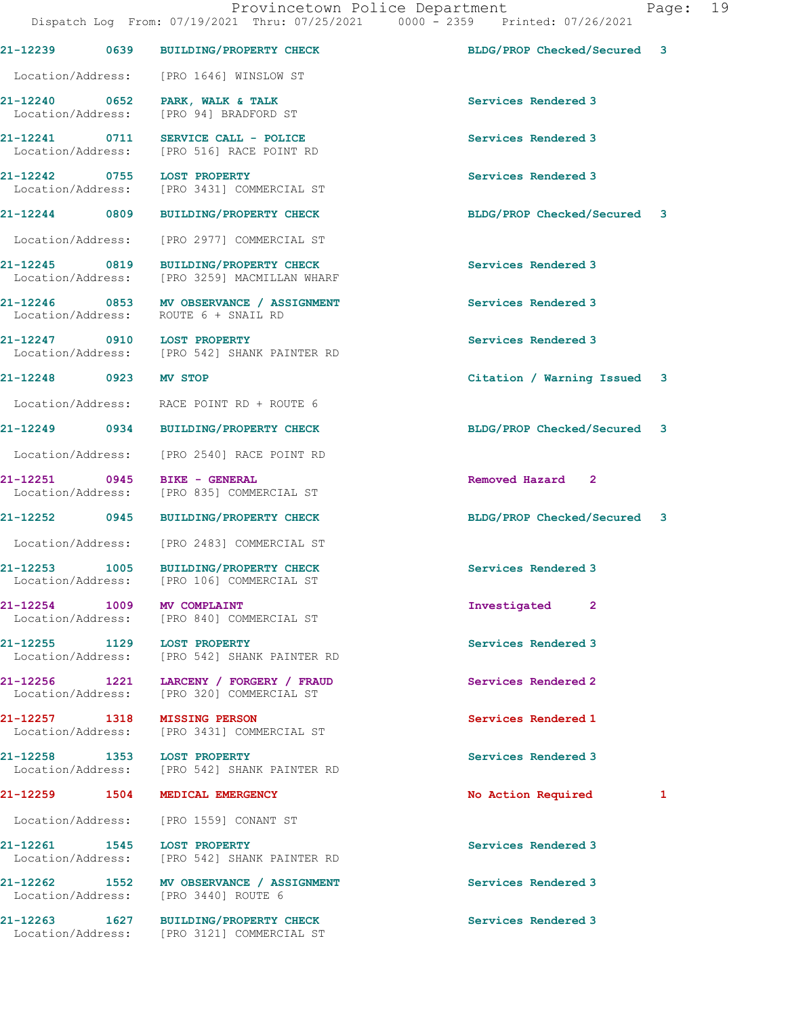|                             |      | DISPACCH DOG TIOM. 0771972021 INIU. 0772072021<br><b>boot</b>                    |                             |   |
|-----------------------------|------|----------------------------------------------------------------------------------|-----------------------------|---|
| 21-12239 0639               |      | BUILDING/PROPERTY CHECK                                                          | BLDG/PROP Checked/Secured   | 3 |
|                             |      | Location/Address: [PRO 1646] WINSLOW ST                                          |                             |   |
| 21-12240 0652               |      | PARK, WALK & TALK<br>Location/Address: [PRO 94] BRADFORD ST                      | Services Rendered 3         |   |
| 21-12241 0711               |      | SERVICE CALL - POLICE<br>Location/Address: [PRO 516] RACE POINT RD               | Services Rendered 3         |   |
| 21-12242 0755               |      | <b>LOST PROPERTY</b><br>Location/Address: [PRO 3431] COMMERCIAL ST               | Services Rendered 3         |   |
|                             |      | 21-12244 0809 BUILDING/PROPERTY CHECK                                            | BLDG/PROP Checked/Secured 3 |   |
|                             |      | Location/Address: [PRO 2977] COMMERCIAL ST                                       |                             |   |
| 21-12245 0819               |      | <b>BUILDING/PROPERTY CHECK</b><br>Location/Address: [PRO 3259] MACMILLAN WHARF   | Services Rendered 3         |   |
|                             |      | 21-12246 0853 MV OBSERVANCE / ASSIGNMENT<br>Location/Address: ROUTE 6 + SNAIL RD | Services Rendered 3         |   |
|                             |      | 21-12247 0910 LOST PROPERTY<br>Location/Address: [PRO 542] SHANK PAINTER RD      | Services Rendered 3         |   |
| 21-12248 0923 MV STOP       |      |                                                                                  | Citation / Warning Issued 3 |   |
|                             |      | Location/Address: RACE POINT RD + ROUTE 6                                        |                             |   |
|                             |      | 21-12249 0934 BUILDING/PROPERTY CHECK                                            | BLDG/PROP Checked/Secured   | 3 |
|                             |      | Location/Address: [PRO 2540] RACE POINT RD                                       |                             |   |
| 21-12251 0945               |      | <b>BIKE - GENERAL</b><br>Location/Address: [PRO 835] COMMERCIAL ST               | Removed Hazard 2            |   |
| 21-12252 0945               |      | <b>BUILDING/PROPERTY CHECK</b>                                                   | BLDG/PROP Checked/Secured 3 |   |
| Location/Address:           |      | [PRO 2483] COMMERCIAL ST                                                         |                             |   |
| 21-12253 1005               |      | <b>BUILDING/PROPERTY CHECK</b><br>Location/Address: [PRO 106] COMMERCIAL ST      | Services Rendered 3         |   |
| 21-12254                    | 1009 | MV COMPLAINT<br>Location/Address: [PRO 840] COMMERCIAL ST                        | Investigated 2              |   |
| 21-12255 1129               |      | <b>LOST PROPERTY</b><br>Location/Address: [PRO 542] SHANK PAINTER RD             | Services Rendered 3         |   |
| 21-12256 1221               |      | LARCENY / FORGERY / FRAUD<br>Location/Address: [PRO 320] COMMERCIAL ST           | Services Rendered 2         |   |
| 21-12257 1318               |      | <b>MISSING PERSON</b><br>Location/Address: [PRO 3431] COMMERCIAL ST              | Services Rendered 1         |   |
| 21-12258 1353 LOST PROPERTY |      | Location/Address: [PRO 542] SHANK PAINTER RD                                     | Services Rendered 3         |   |
| 21-12259 1504               |      | MEDICAL EMERGENCY                                                                | No Action Required          | 1 |
| Location/Address:           |      | [PRO 1559] CONANT ST                                                             |                             |   |
| 21-12261 1545               |      | LOST PROPERTY<br>Location/Address: [PRO 542] SHANK PAINTER RD                    | Services Rendered 3         |   |
| 21-12262 1552               |      | MV OBSERVANCE / ASSIGNMENT<br>Location/Address: [PRO 3440] ROUTE 6               | Services Rendered 3         |   |
| 21-12263 1627               |      | <b>BUILDING/PROPERTY CHECK</b><br>Location/Address: [PRO 3121] COMMERCIAL ST     | Services Rendered 3         |   |
|                             |      |                                                                                  |                             |   |